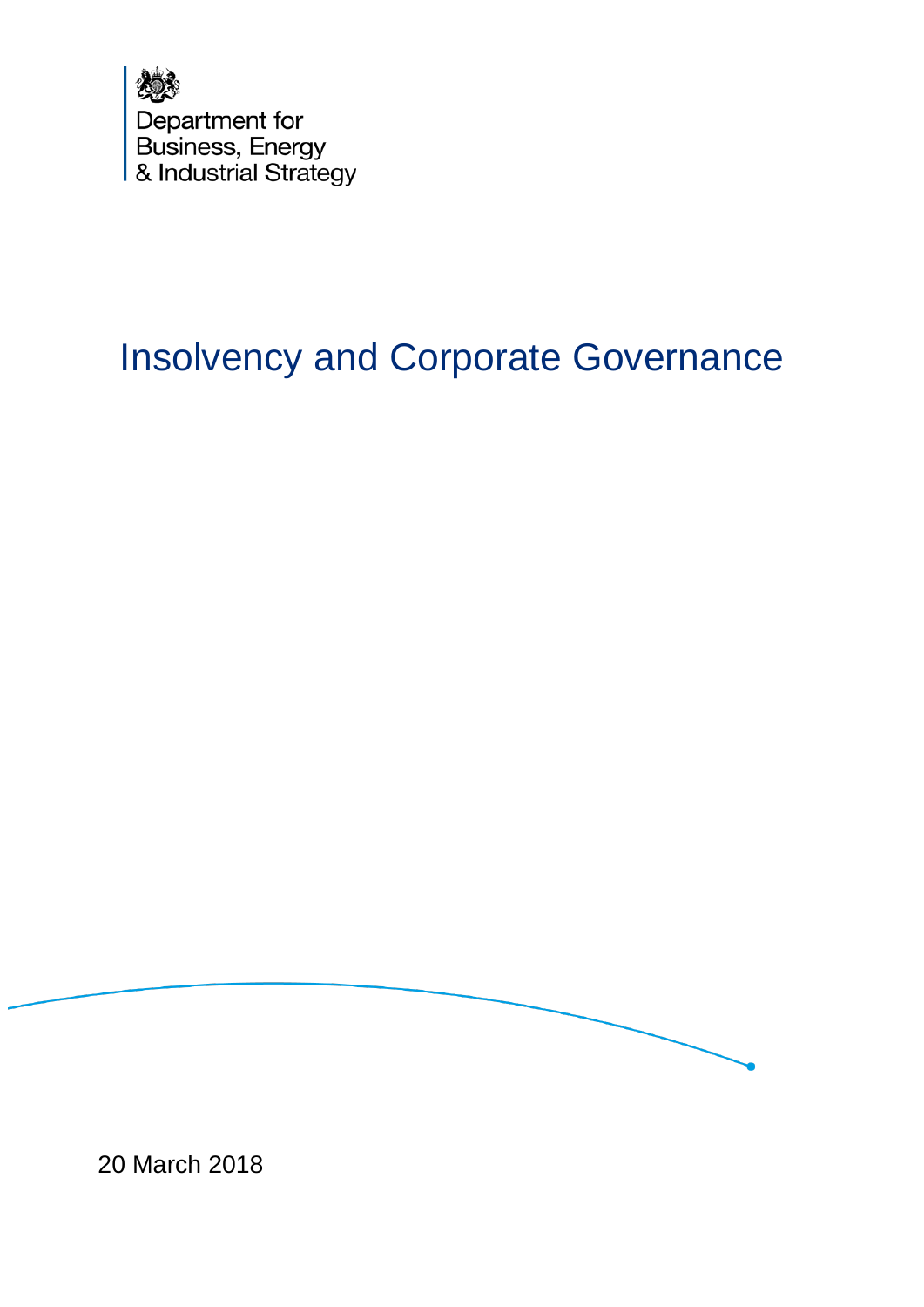

# Insolvency and Corporate Governance



20 March 2018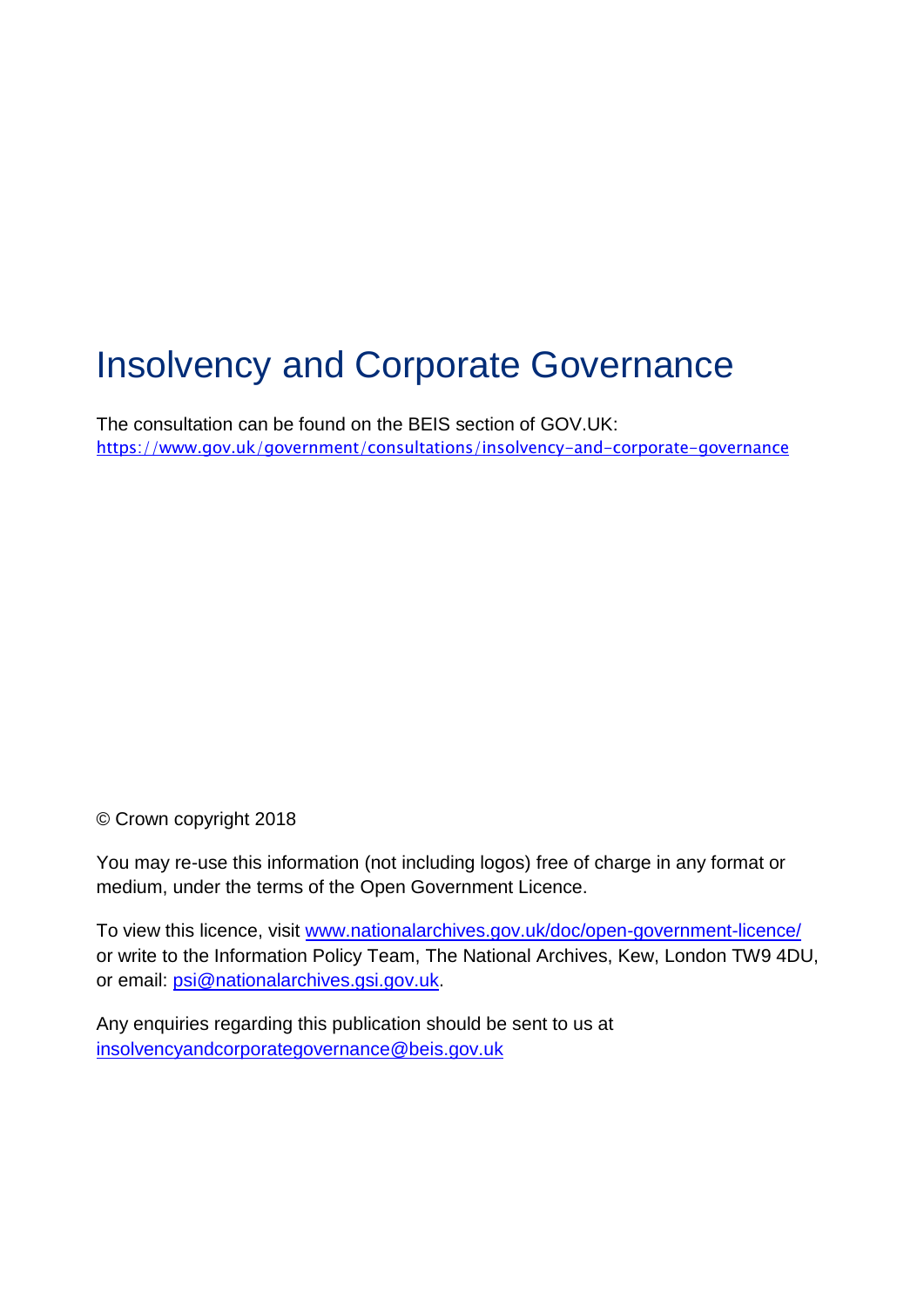# Insolvency and Corporate Governance

The consultation can be found on the BEIS section of GOV.UK: <https://www.gov.uk/government/consultations/insolvency-and-corporate-governance>

© Crown copyright 2018

You may re-use this information (not including logos) free of charge in any format or medium, under the terms of the Open Government Licence.

To view this licence, visit [www.nationalarchives.gov.uk/doc/open-government-licence/](http://www.nationalarchives.gov.uk/doc/open-government-licence/) or write to the Information Policy Team, The National Archives, Kew, London TW9 4DU, or email: [psi@nationalarchives.gsi.gov.uk.](mailto:psi@nationalarchives.gsi.gov.uk)

Any enquiries regarding this publication should be sent to us at [insolvencyandcorporategovernance@beis.gov.uk](mailto:insolvencyandcorporategovernance@beis.gov.uk)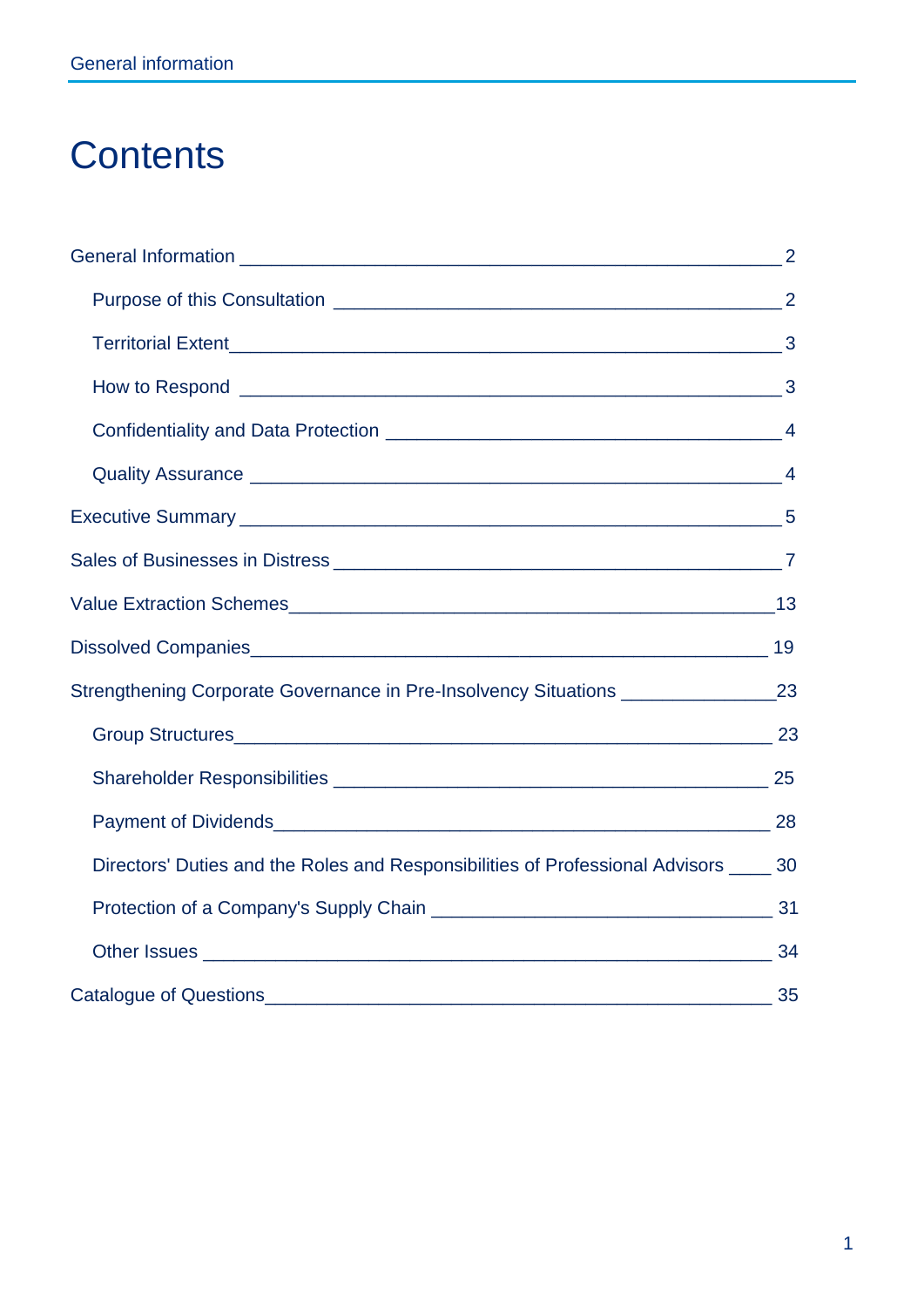# **Contents**

| Strengthening Corporate Governance in Pre-Insolvency Situations ________________23     |  |
|----------------------------------------------------------------------------------------|--|
|                                                                                        |  |
|                                                                                        |  |
|                                                                                        |  |
| Directors' Duties and the Roles and Responsibilities of Professional Advisors _____ 30 |  |
|                                                                                        |  |
|                                                                                        |  |
| Catalogue of Questions 2000 2000 2000 35                                               |  |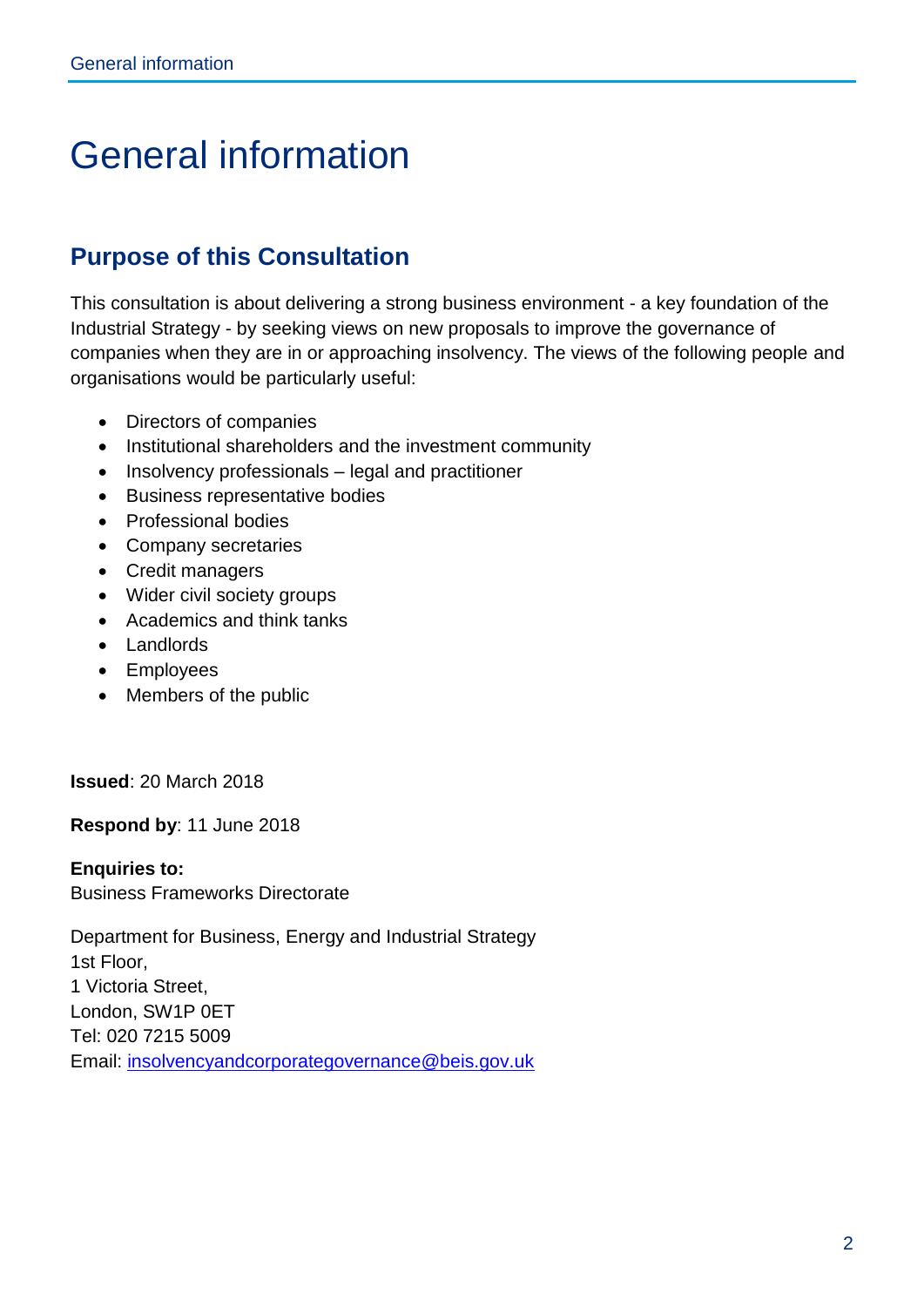# <span id="page-3-0"></span>General information

# <span id="page-3-1"></span>**Purpose of this Consultation**

This consultation is about delivering a strong business environment - a key foundation of the Industrial Strategy - by seeking views on new proposals to improve the governance of companies when they are in or approaching insolvency. The views of the following people and organisations would be particularly useful:

- Directors of companies
- Institutional shareholders and the investment community
- Insolvency professionals legal and practitioner
- Business representative bodies
- Professional bodies
- Company secretaries
- Credit managers
- Wider civil society groups
- Academics and think tanks
- Landlords
- Employees
- Members of the public

**Issued**: 20 March 2018

**Respond by**: 11 June 2018

**Enquiries to:** Business Frameworks Directorate

Department for Business, Energy and Industrial Strategy 1st Floor, 1 Victoria Street, London, SW1P 0ET Tel: 020 7215 5009 Email: [insolvencyandcorporategovernance@beis.gov.uk](mailto:insolvencyandcorporategovernance@beis.gov.uk)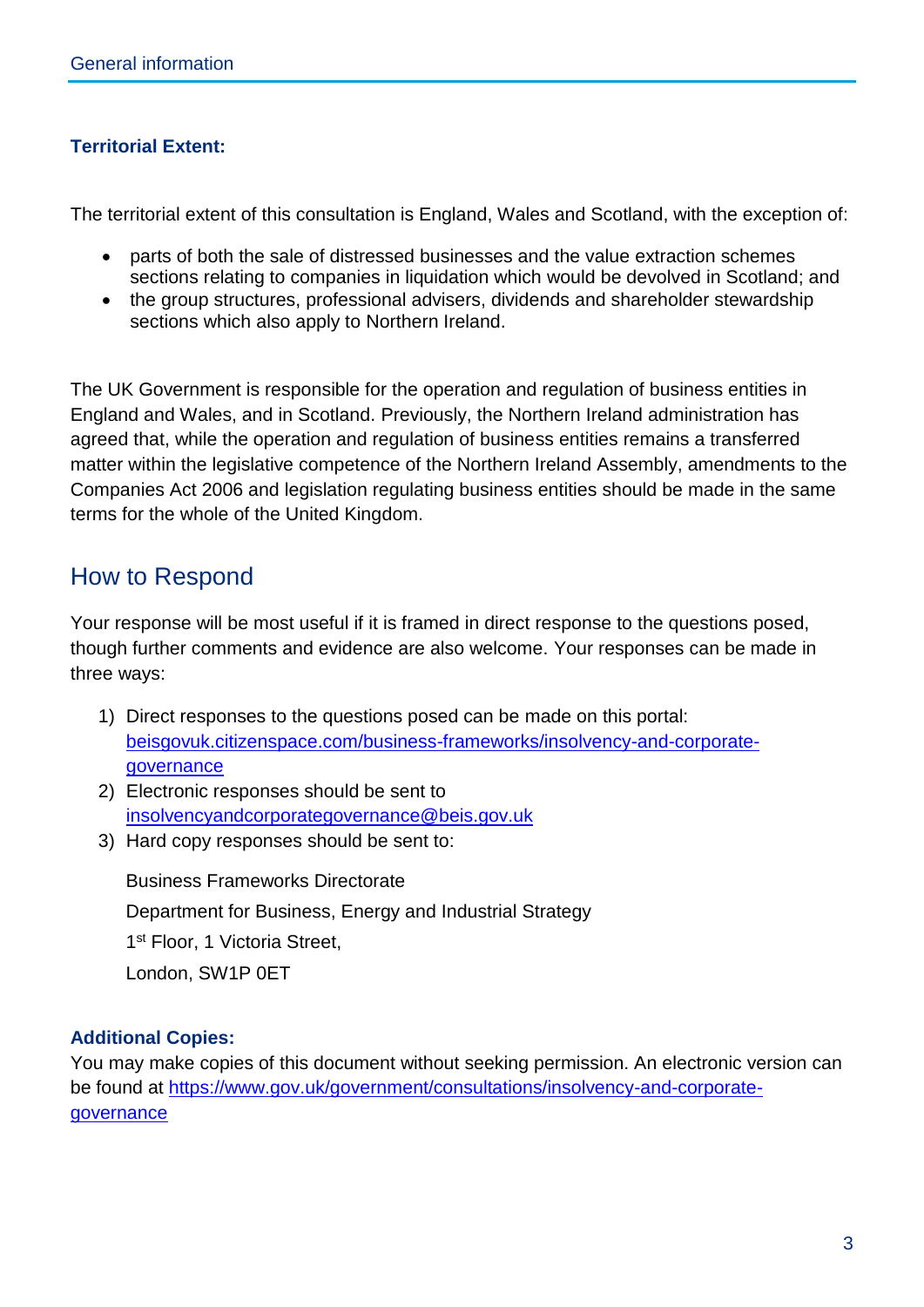#### <span id="page-4-0"></span>**Territorial Extent:**

The territorial extent of this consultation is England, Wales and Scotland, with the exception of:

- parts of both the sale of distressed businesses and the value extraction schemes sections relating to companies in liquidation which would be devolved in Scotland; and
- the group structures, professional advisers, dividends and shareholder stewardship sections which also apply to Northern Ireland.

The UK Government is responsible for the operation and regulation of business entities in England and Wales, and in Scotland. Previously, the Northern Ireland administration has agreed that, while the operation and regulation of business entities remains a transferred matter within the legislative competence of the Northern Ireland Assembly, amendments to the Companies Act 2006 and legislation regulating business entities should be made in the same terms for the whole of the United Kingdom.

### <span id="page-4-1"></span>How to Respond

Your response will be most useful if it is framed in direct response to the questions posed, though further comments and evidence are also welcome. Your responses can be made in three ways:

- 1) Direct responses to the questions posed can be made on this portal: [beisgovuk.citizenspace.com/business-frameworks/insolvency-and-corporate](https://beisgovuk.citizenspace.com/business-frameworks/insolvency-and-corporate-governance)[governance](https://beisgovuk.citizenspace.com/business-frameworks/insolvency-and-corporate-governance)
- 2) Electronic responses should be sent to [insolvencyandcorporategovernance@beis.gov.uk](mailto:insolvencyandcorporategovernance@beis.gov.uk)
- 3) Hard copy responses should be sent to:

Business Frameworks Directorate Department for Business, Energy and Industrial Strategy 1<sup>st</sup> Floor, 1 Victoria Street, London, SW1P 0ET

#### **Additional Copies:**

<span id="page-4-2"></span>You may make copies of this document without seeking permission. An electronic version can be found at [https://www.gov.uk/government/consultations/insolvency-and-corporate](https://www.gov.uk/government/consultations/insolvency-and-corporate-governance)[governance](https://www.gov.uk/government/consultations/insolvency-and-corporate-governance)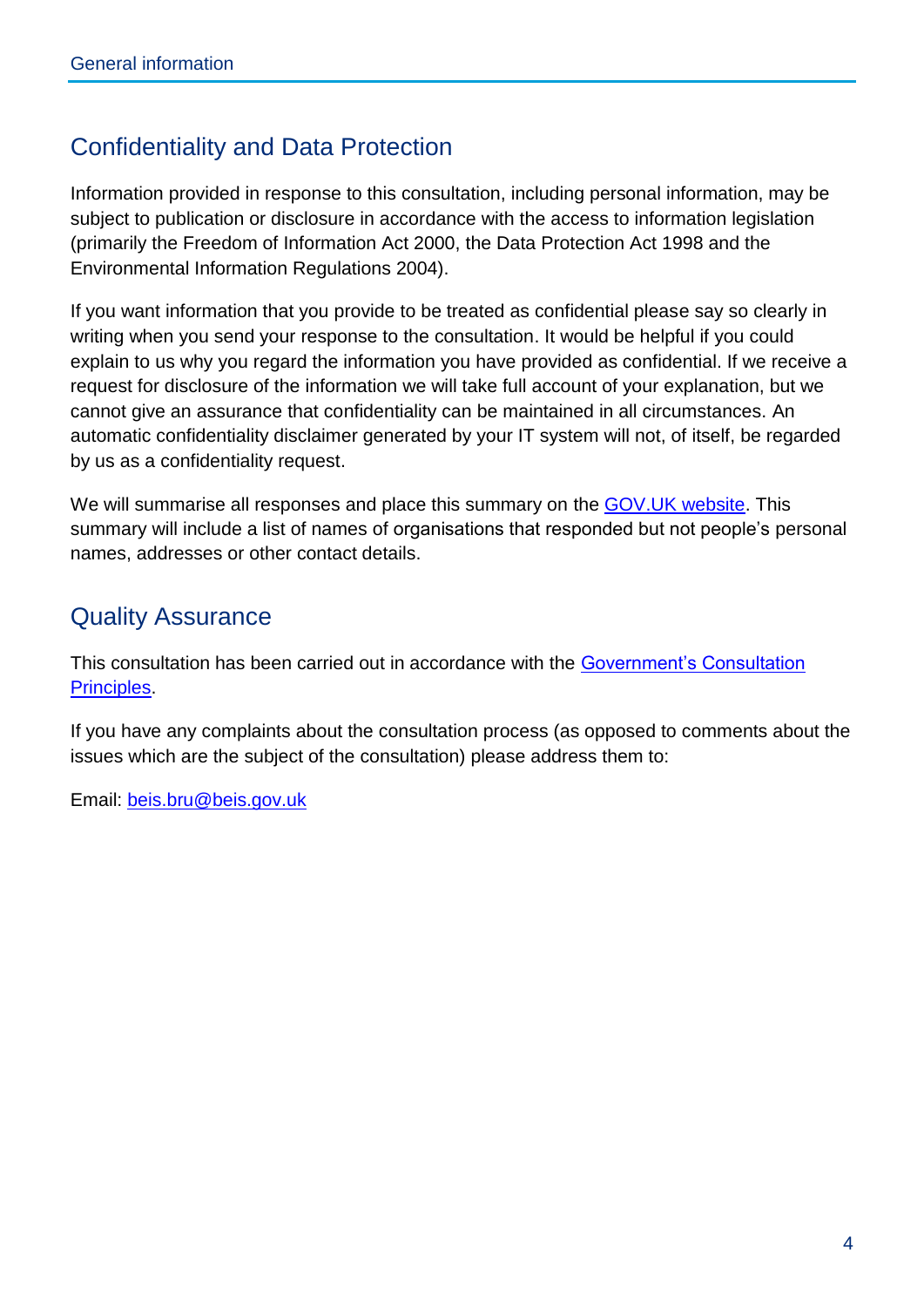# Confidentiality and Data Protection

Information provided in response to this consultation, including personal information, may be subject to publication or disclosure in accordance with the access to information legislation (primarily the Freedom of Information Act 2000, the Data Protection Act 1998 and the Environmental Information Regulations 2004).

If you want information that you provide to be treated as confidential please say so clearly in writing when you send your response to the consultation. It would be helpful if you could explain to us why you regard the information you have provided as confidential. If we receive a request for disclosure of the information we will take full account of your explanation, but we cannot give an assurance that confidentiality can be maintained in all circumstances. An automatic confidentiality disclaimer generated by your IT system will not, of itself, be regarded by us as a confidentiality request.

We will summarise all responses and place this summary on the GOV. UK website. This summary will include a list of names of organisations that responded but not people's personal names, addresses or other contact details.

## <span id="page-5-0"></span>Quality Assurance

This consultation has been carried out in accordance with the [Government's Consultation](https://www.gov.uk/government/publications/consultation-principles-guidance)  [Principles.](https://www.gov.uk/government/publications/consultation-principles-guidance)

If you have any complaints about the consultation process (as opposed to comments about the issues which are the subject of the consultation) please address them to:

Email: [beis.bru@beis.gov.uk](mailto:beis.bru@beis.gov.uk)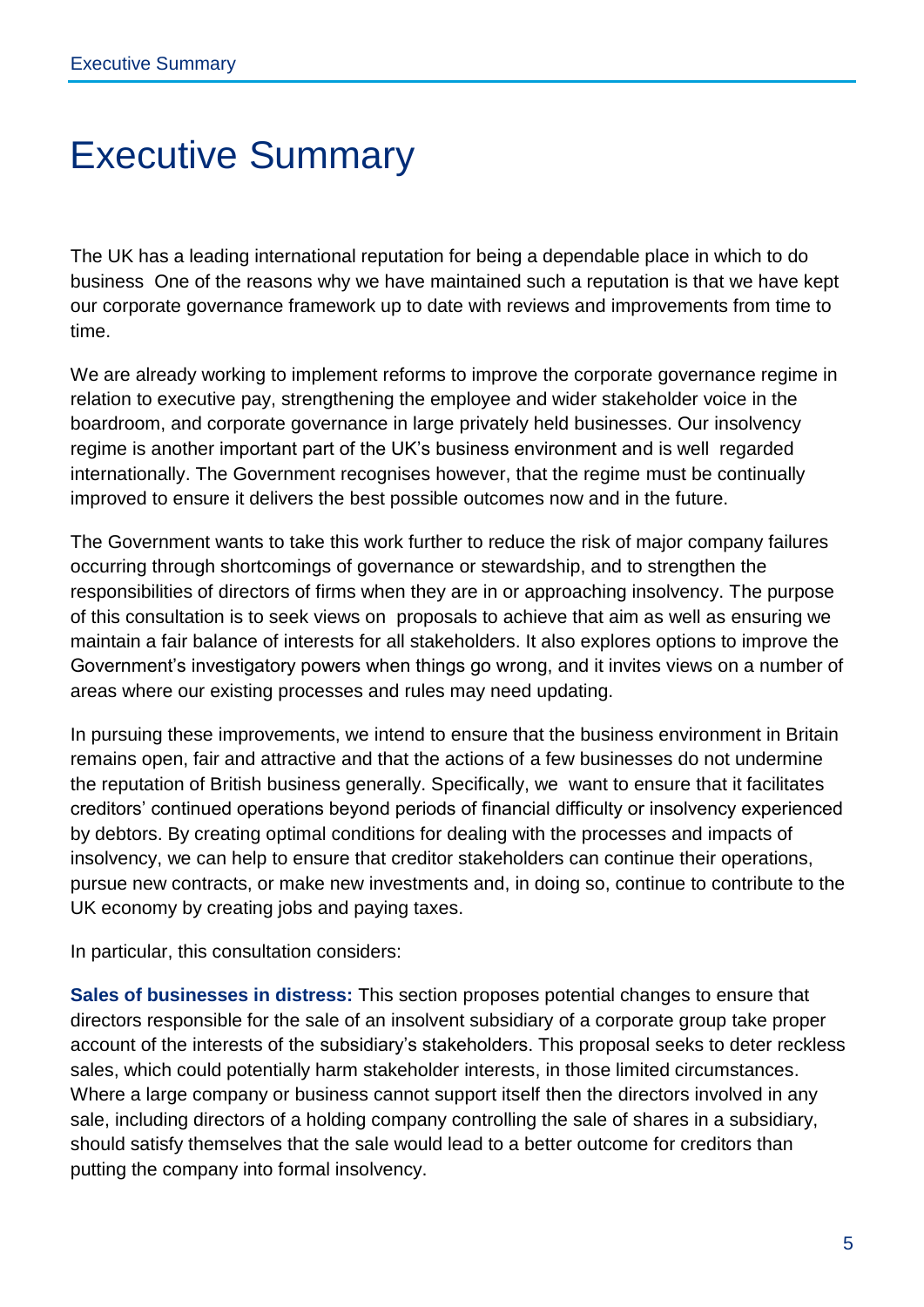# <span id="page-6-0"></span>Executive Summary

The UK has a leading international reputation for being a dependable place in which to do business One of the reasons why we have maintained such a reputation is that we have kept our corporate governance framework up to date with reviews and improvements from time to time.

We are already working to implement reforms to improve the corporate governance regime in relation to executive pay, strengthening the employee and wider stakeholder voice in the boardroom, and corporate governance in large privately held businesses. Our insolvency regime is another important part of the UK's business environment and is well regarded internationally. The Government recognises however, that the regime must be continually improved to ensure it delivers the best possible outcomes now and in the future.

The Government wants to take this work further to reduce the risk of major company failures occurring through shortcomings of governance or stewardship, and to strengthen the responsibilities of directors of firms when they are in or approaching insolvency. The purpose of this consultation is to seek views on proposals to achieve that aim as well as ensuring we maintain a fair balance of interests for all stakeholders. It also explores options to improve the Government's investigatory powers when things go wrong, and it invites views on a number of areas where our existing processes and rules may need updating.

In pursuing these improvements, we intend to ensure that the business environment in Britain remains open, fair and attractive and that the actions of a few businesses do not undermine the reputation of British business generally. Specifically, we want to ensure that it facilitates creditors' continued operations beyond periods of financial difficulty or insolvency experienced by debtors. By creating optimal conditions for dealing with the processes and impacts of insolvency, we can help to ensure that creditor stakeholders can continue their operations, pursue new contracts, or make new investments and, in doing so, continue to contribute to the UK economy by creating jobs and paying taxes.

In particular, this consultation considers:

**Sales of businesses in distress:** This section proposes potential changes to ensure that directors responsible for the sale of an insolvent subsidiary of a corporate group take proper account of the interests of the subsidiary's stakeholders. This proposal seeks to deter reckless sales, which could potentially harm stakeholder interests, in those limited circumstances. Where a large company or business cannot support itself then the directors involved in any sale, including directors of a holding company controlling the sale of shares in a subsidiary, should satisfy themselves that the sale would lead to a better outcome for creditors than putting the company into formal insolvency.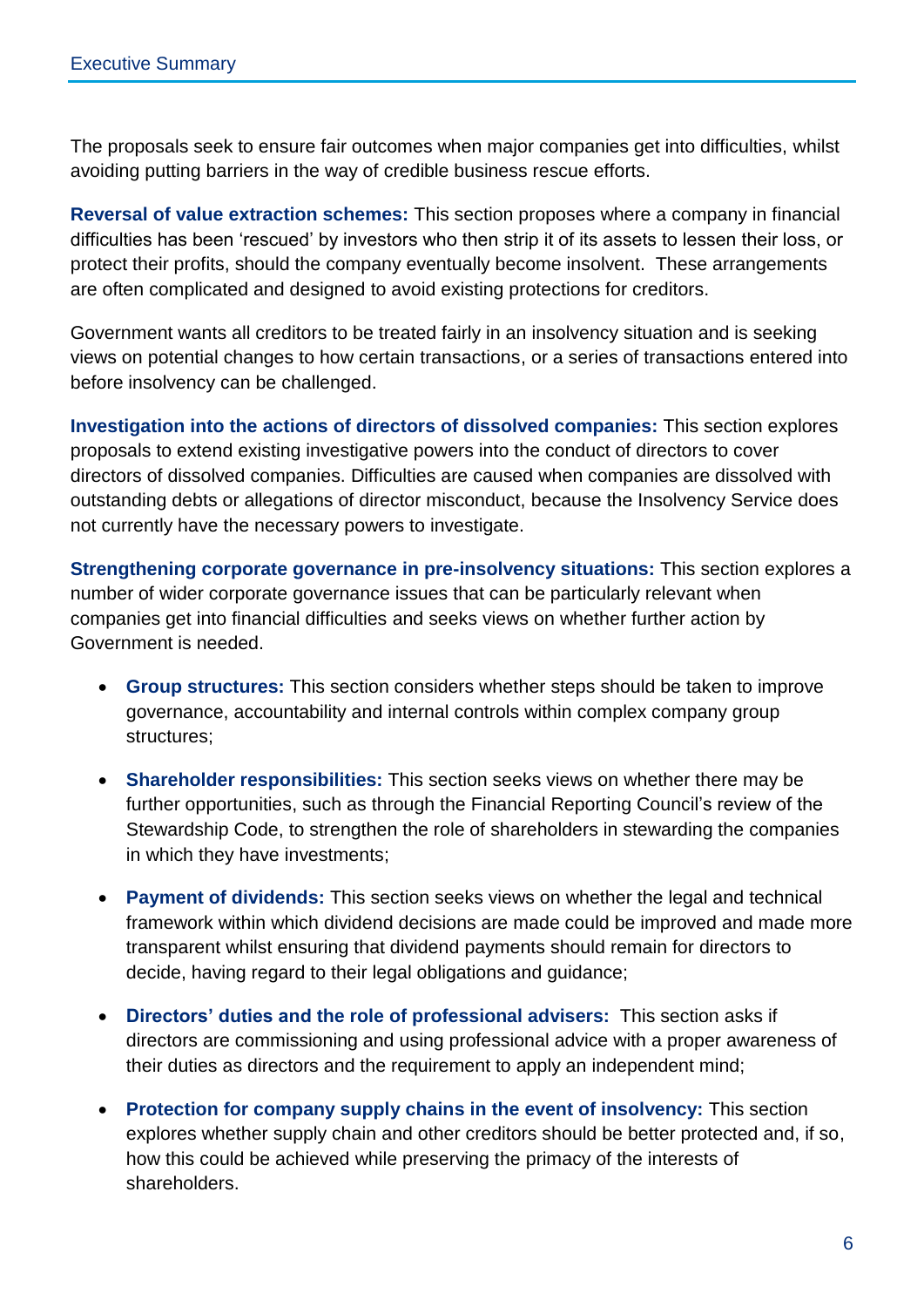The proposals seek to ensure fair outcomes when major companies get into difficulties, whilst avoiding putting barriers in the way of credible business rescue efforts.

**Reversal of value extraction schemes:** This section proposes where a company in financial difficulties has been 'rescued' by investors who then strip it of its assets to lessen their loss, or protect their profits, should the company eventually become insolvent. These arrangements are often complicated and designed to avoid existing protections for creditors.

Government wants all creditors to be treated fairly in an insolvency situation and is seeking views on potential changes to how certain transactions, or a series of transactions entered into before insolvency can be challenged.

**Investigation into the actions of directors of dissolved companies:** This section explores proposals to extend existing investigative powers into the conduct of directors to cover directors of dissolved companies. Difficulties are caused when companies are dissolved with outstanding debts or allegations of director misconduct, because the Insolvency Service does not currently have the necessary powers to investigate.

**Strengthening corporate governance in pre-insolvency situations:** This section explores a number of wider corporate governance issues that can be particularly relevant when companies get into financial difficulties and seeks views on whether further action by Government is needed.

- **Group structures:** This section considers whether steps should be taken to improve governance, accountability and internal controls within complex company group structures;
- **Shareholder responsibilities:** This section seeks views on whether there may be further opportunities, such as through the Financial Reporting Council's review of the Stewardship Code, to strengthen the role of shareholders in stewarding the companies in which they have investments;
- **Payment of dividends:** This section seeks views on whether the legal and technical framework within which dividend decisions are made could be improved and made more transparent whilst ensuring that dividend payments should remain for directors to decide, having regard to their legal obligations and guidance;
- **Directors' duties and the role of professional advisers:** This section asks if directors are commissioning and using professional advice with a proper awareness of their duties as directors and the requirement to apply an independent mind;
- **Protection for company supply chains in the event of insolvency:** This section explores whether supply chain and other creditors should be better protected and, if so, how this could be achieved while preserving the primacy of the interests of shareholders.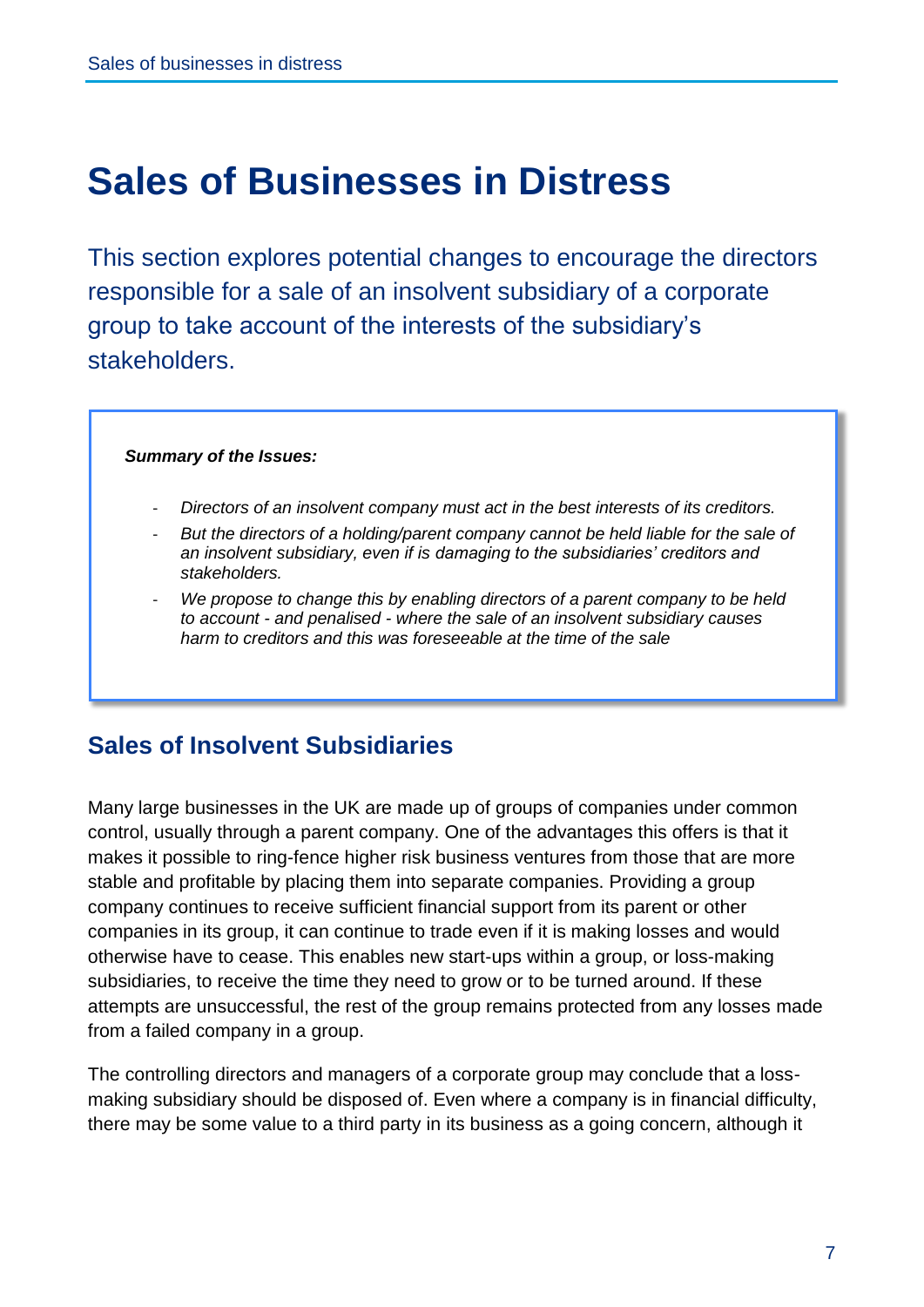# <span id="page-8-0"></span>**Sales of Businesses in Distress**

This section explores potential changes to encourage the directors responsible for a sale of an insolvent subsidiary of a corporate group to take account of the interests of the subsidiary's stakeholders.

#### *Summary of the Issues:*

- *Directors of an insolvent company must act in the best interests of its creditors.*
- But the directors of a holding/parent company cannot be held liable for the sale of *an insolvent subsidiary, even if is damaging to the subsidiaries' creditors and stakeholders.*
- *We propose to change this by enabling directors of a parent company to be held to account - and penalised - where the sale of an insolvent subsidiary causes harm to creditors and this was foreseeable at the time of the sale*

### **Sales of Insolvent Subsidiaries**

Many large businesses in the UK are made up of groups of companies under common control, usually through a parent company. One of the advantages this offers is that it makes it possible to ring-fence higher risk business ventures from those that are more stable and profitable by placing them into separate companies. Providing a group company continues to receive sufficient financial support from its parent or other companies in its group, it can continue to trade even if it is making losses and would otherwise have to cease. This enables new start-ups within a group, or loss-making subsidiaries, to receive the time they need to grow or to be turned around. If these attempts are unsuccessful, the rest of the group remains protected from any losses made from a failed company in a group.

The controlling directors and managers of a corporate group may conclude that a lossmaking subsidiary should be disposed of. Even where a company is in financial difficulty, there may be some value to a third party in its business as a going concern, although it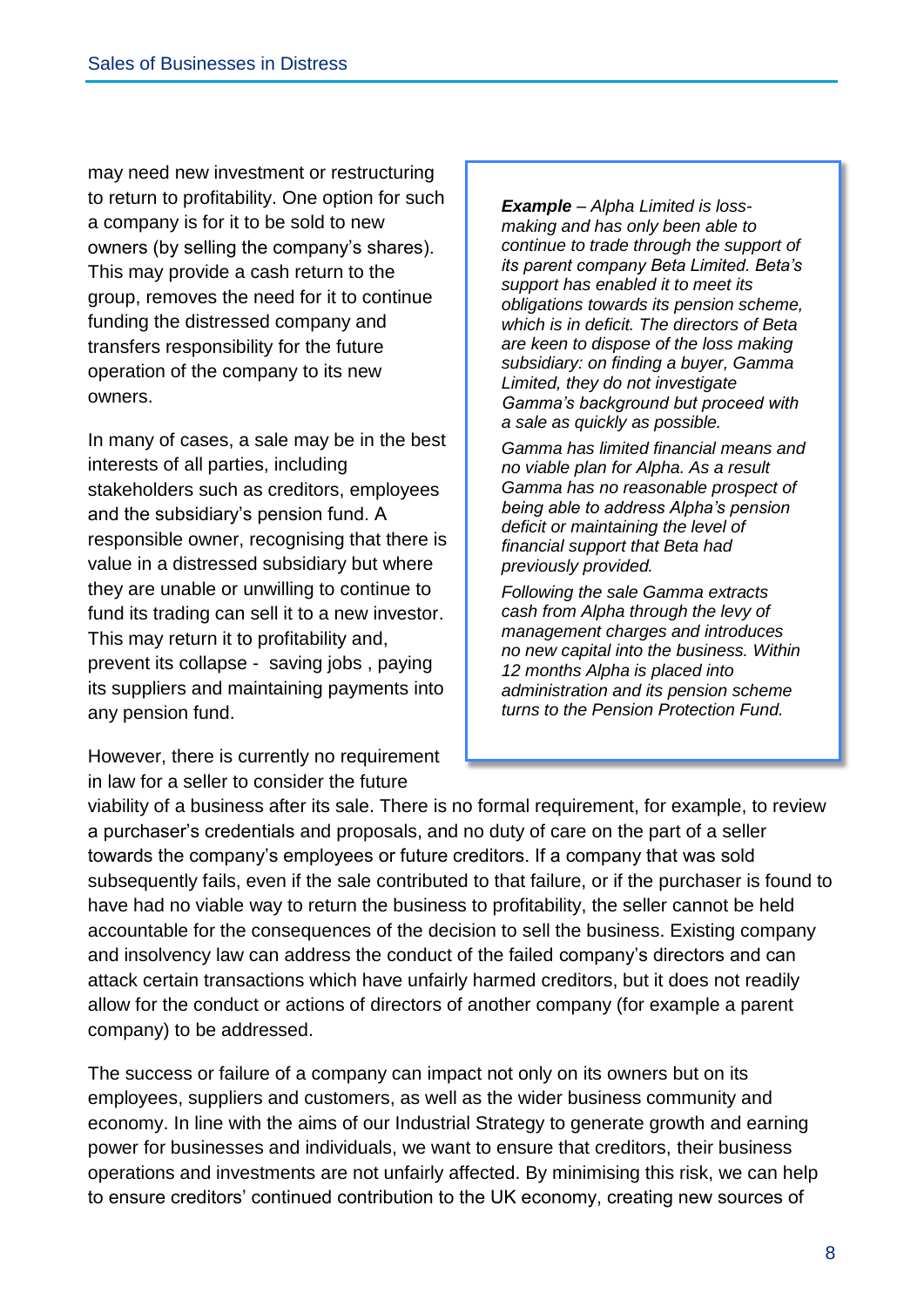may need new investment or restructuring to return to profitability. One option for such a company is for it to be sold to new owners (by selling the company's shares). This may provide a cash return to the group, removes the need for it to continue funding the distressed company and transfers responsibility for the future operation of the company to its new owners.

In many of cases, a sale may be in the best interests of all parties, including stakeholders such as creditors, employees and the subsidiary's pension fund. A responsible owner, recognising that there is value in a distressed subsidiary but where they are unable or unwilling to continue to fund its trading can sell it to a new investor. This may return it to profitability and, prevent its collapse - saving jobs , paying its suppliers and maintaining payments into any pension fund.

However, there is currently no requirement in law for a seller to consider the future

*Example – Alpha Limited is lossmaking and has only been able to continue to trade through the support of its parent company Beta Limited. Beta's support has enabled it to meet its obligations towards its pension scheme, which is in deficit. The directors of Beta are keen to dispose of the loss making subsidiary: on finding a buyer, Gamma Limited, they do not investigate Gamma's background but proceed with a sale as quickly as possible.*

*Gamma has limited financial means and no viable plan for Alpha. As a result Gamma has no reasonable prospect of being able to address Alpha's pension deficit or maintaining the level of financial support that Beta had previously provided.*

*Following the sale Gamma extracts cash from Alpha through the levy of management charges and introduces no new capital into the business. Within 12 months Alpha is placed into administration and its pension scheme turns to the Pension Protection Fund.*

viability of a business after its sale. There is no formal requirement, for example, to review a purchaser's credentials and proposals, and no duty of care on the part of a seller towards the company's employees or future creditors. If a company that was sold subsequently fails, even if the sale contributed to that failure, or if the purchaser is found to have had no viable way to return the business to profitability, the seller cannot be held accountable for the consequences of the decision to sell the business. Existing company and insolvency law can address the conduct of the failed company's directors and can attack certain transactions which have unfairly harmed creditors, but it does not readily allow for the conduct or actions of directors of another company (for example a parent company) to be addressed.

The success or failure of a company can impact not only on its owners but on its employees, suppliers and customers, as well as the wider business community and economy. In line with the aims of our Industrial Strategy to generate growth and earning power for businesses and individuals, we want to ensure that creditors, their business operations and investments are not unfairly affected. By minimising this risk, we can help to ensure creditors' continued contribution to the UK economy, creating new sources of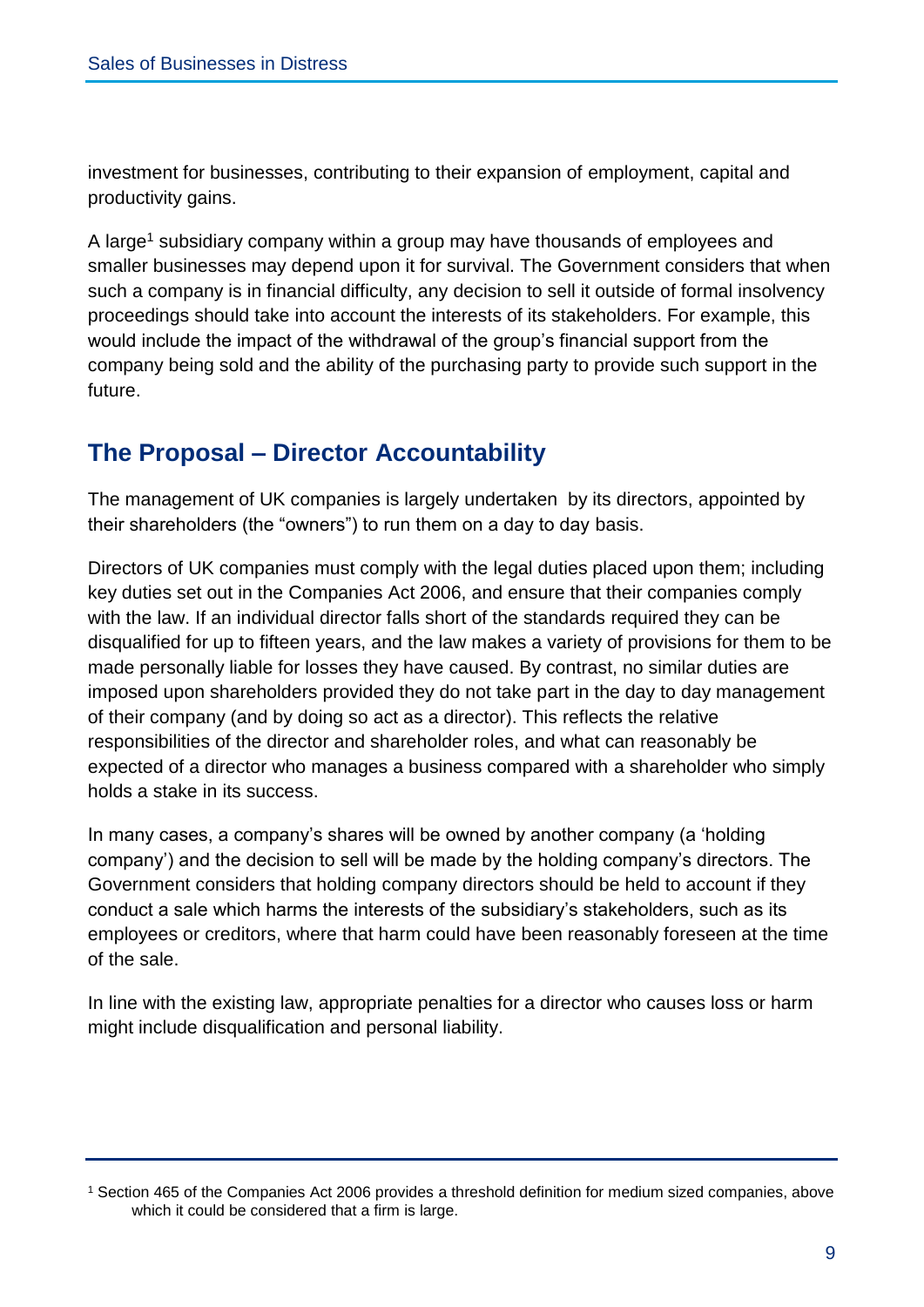investment for businesses, contributing to their expansion of employment, capital and productivity gains.

A large<sup>1</sup> subsidiary company within a group may have thousands of employees and smaller businesses may depend upon it for survival. The Government considers that when such a company is in financial difficulty, any decision to sell it outside of formal insolvency proceedings should take into account the interests of its stakeholders. For example, this would include the impact of the withdrawal of the group's financial support from the company being sold and the ability of the purchasing party to provide such support in the future.

### **The Proposal – Director Accountability**

The management of UK companies is largely undertaken by its directors, appointed by their shareholders (the "owners") to run them on a day to day basis.

Directors of UK companies must comply with the legal duties placed upon them; including key duties set out in the Companies Act 2006, and ensure that their companies comply with the law. If an individual director falls short of the standards required they can be disqualified for up to fifteen years, and the law makes a variety of provisions for them to be made personally liable for losses they have caused. By contrast, no similar duties are imposed upon shareholders provided they do not take part in the day to day management of their company (and by doing so act as a director). This reflects the relative responsibilities of the director and shareholder roles, and what can reasonably be expected of a director who manages a business compared with a shareholder who simply holds a stake in its success.

In many cases, a company's shares will be owned by another company (a 'holding company') and the decision to sell will be made by the holding company's directors. The Government considers that holding company directors should be held to account if they conduct a sale which harms the interests of the subsidiary's stakeholders, such as its employees or creditors, where that harm could have been reasonably foreseen at the time of the sale.

In line with the existing law, appropriate penalties for a director who causes loss or harm might include disqualification and personal liability.

<sup>1</sup> Section 465 of the Companies Act 2006 provides a threshold definition for medium sized companies, above which it could be considered that a firm is large.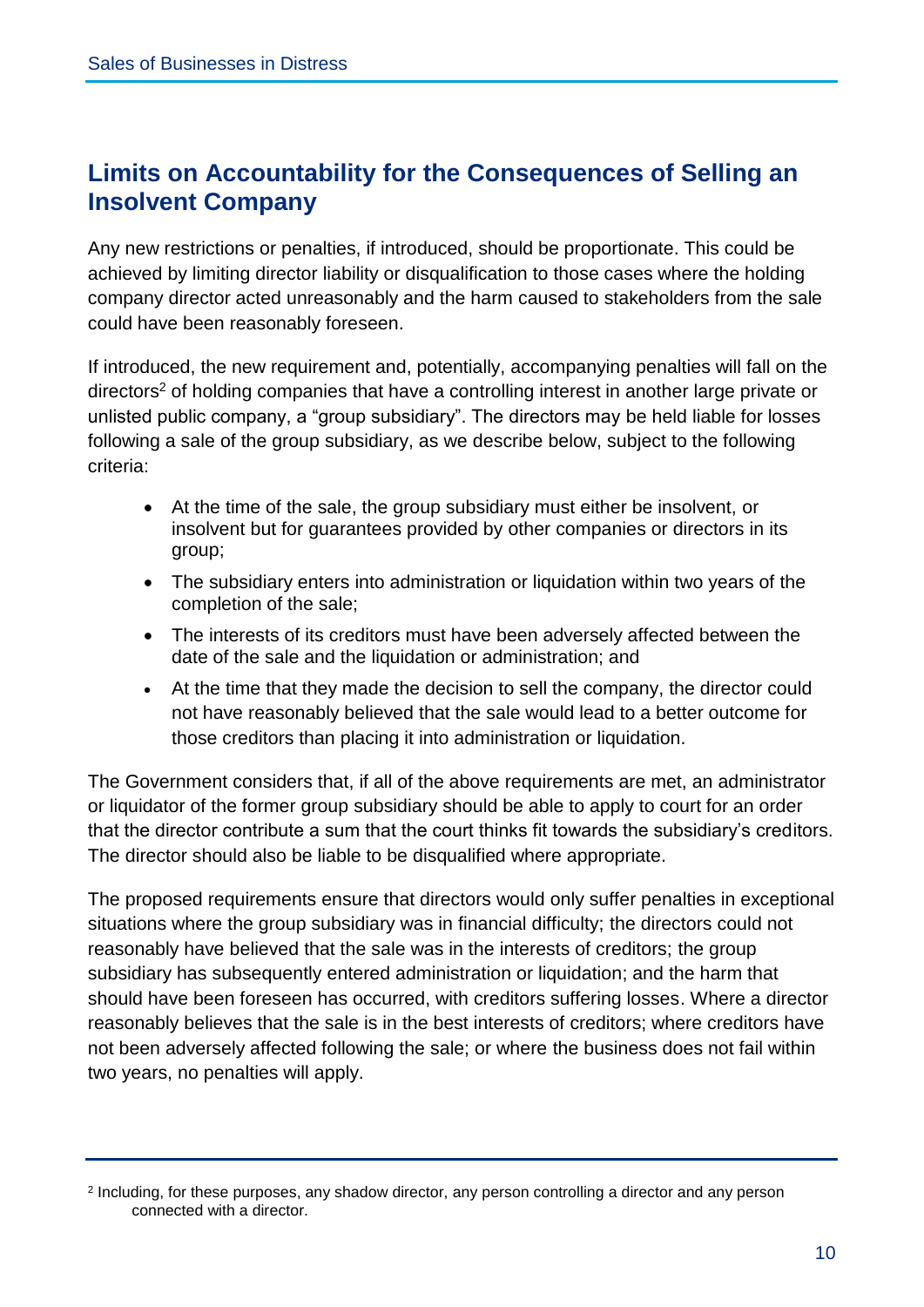## **Limits on Accountability for the Consequences of Selling an Insolvent Company**

Any new restrictions or penalties, if introduced, should be proportionate. This could be achieved by limiting director liability or disqualification to those cases where the holding company director acted unreasonably and the harm caused to stakeholders from the sale could have been reasonably foreseen.

If introduced, the new requirement and, potentially, accompanying penalties will fall on the directors<sup>2</sup> of holding companies that have a controlling interest in another large private or unlisted public company, a "group subsidiary". The directors may be held liable for losses following a sale of the group subsidiary, as we describe below, subject to the following criteria:

- At the time of the sale, the group subsidiary must either be insolvent, or insolvent but for guarantees provided by other companies or directors in its group;
- The subsidiary enters into administration or liquidation within two years of the completion of the sale;
- The interests of its creditors must have been adversely affected between the date of the sale and the liquidation or administration; and
- At the time that they made the decision to sell the company, the director could not have reasonably believed that the sale would lead to a better outcome for those creditors than placing it into administration or liquidation.

The Government considers that, if all of the above requirements are met, an administrator or liquidator of the former group subsidiary should be able to apply to court for an order that the director contribute a sum that the court thinks fit towards the subsidiary's creditors. The director should also be liable to be disqualified where appropriate.

The proposed requirements ensure that directors would only suffer penalties in exceptional situations where the group subsidiary was in financial difficulty; the directors could not reasonably have believed that the sale was in the interests of creditors; the group subsidiary has subsequently entered administration or liquidation; and the harm that should have been foreseen has occurred, with creditors suffering losses. Where a director reasonably believes that the sale is in the best interests of creditors; where creditors have not been adversely affected following the sale; or where the business does not fail within two years, no penalties will apply.

<sup>2</sup> Including, for these purposes, any shadow director, any person controlling a director and any person connected with a director.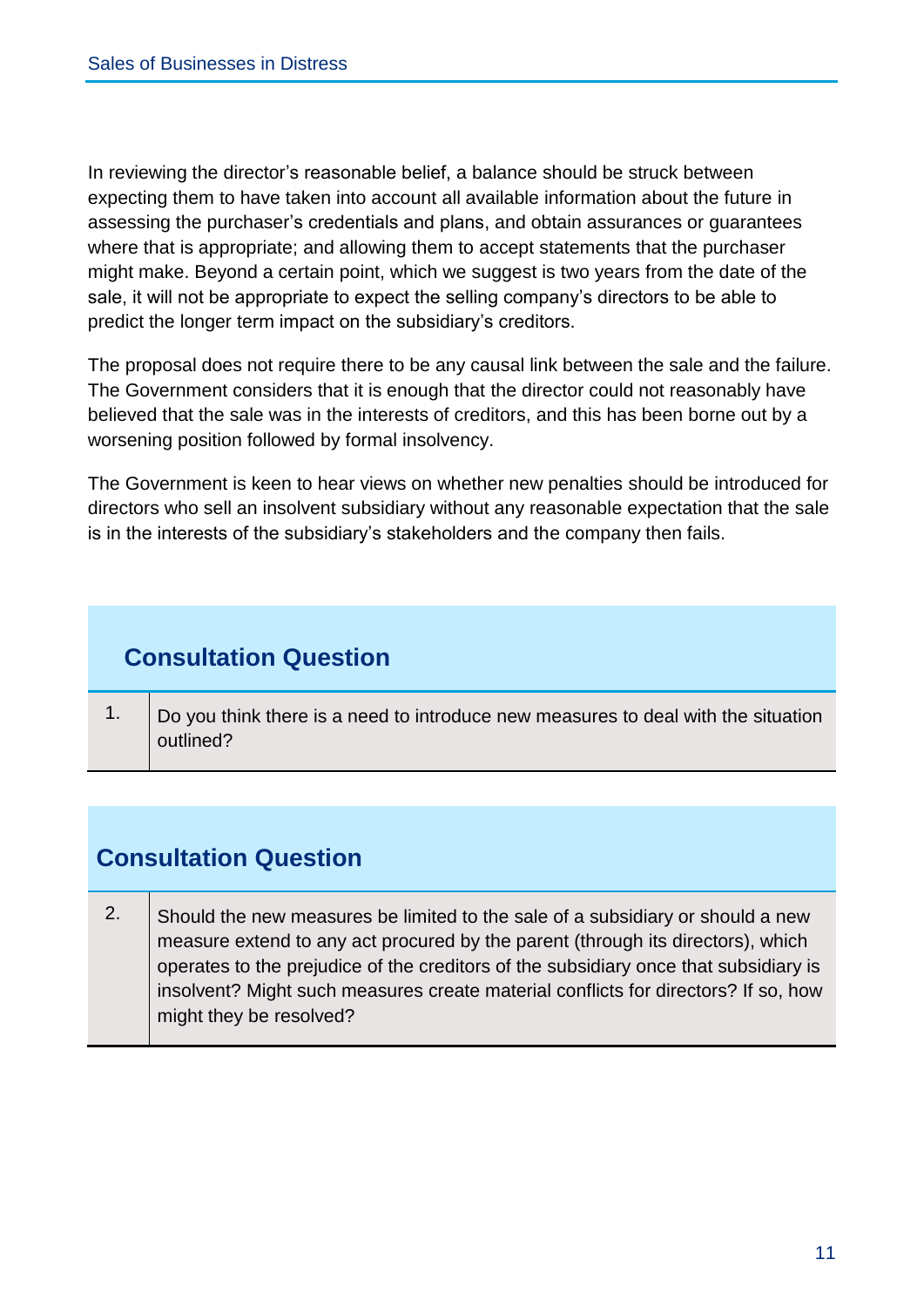In reviewing the director's reasonable belief, a balance should be struck between expecting them to have taken into account all available information about the future in assessing the purchaser's credentials and plans, and obtain assurances or guarantees where that is appropriate; and allowing them to accept statements that the purchaser might make. Beyond a certain point, which we suggest is two years from the date of the sale, it will not be appropriate to expect the selling company's directors to be able to predict the longer term impact on the subsidiary's creditors.

The proposal does not require there to be any causal link between the sale and the failure. The Government considers that it is enough that the director could not reasonably have believed that the sale was in the interests of creditors, and this has been borne out by a worsening position followed by formal insolvency.

The Government is keen to hear views on whether new penalties should be introduced for directors who sell an insolvent subsidiary without any reasonable expectation that the sale is in the interests of the subsidiary's stakeholders and the company then fails.

## **Consultation Question**

1.  $\Box$  Do you think there is a need to introduce new measures to deal with the situation outlined?

# **Consultation Question**

2. Should the new measures be limited to the sale of a subsidiary or should a new measure extend to any act procured by the parent (through its directors), which operates to the prejudice of the creditors of the subsidiary once that subsidiary is insolvent? Might such measures create material conflicts for directors? If so, how might they be resolved?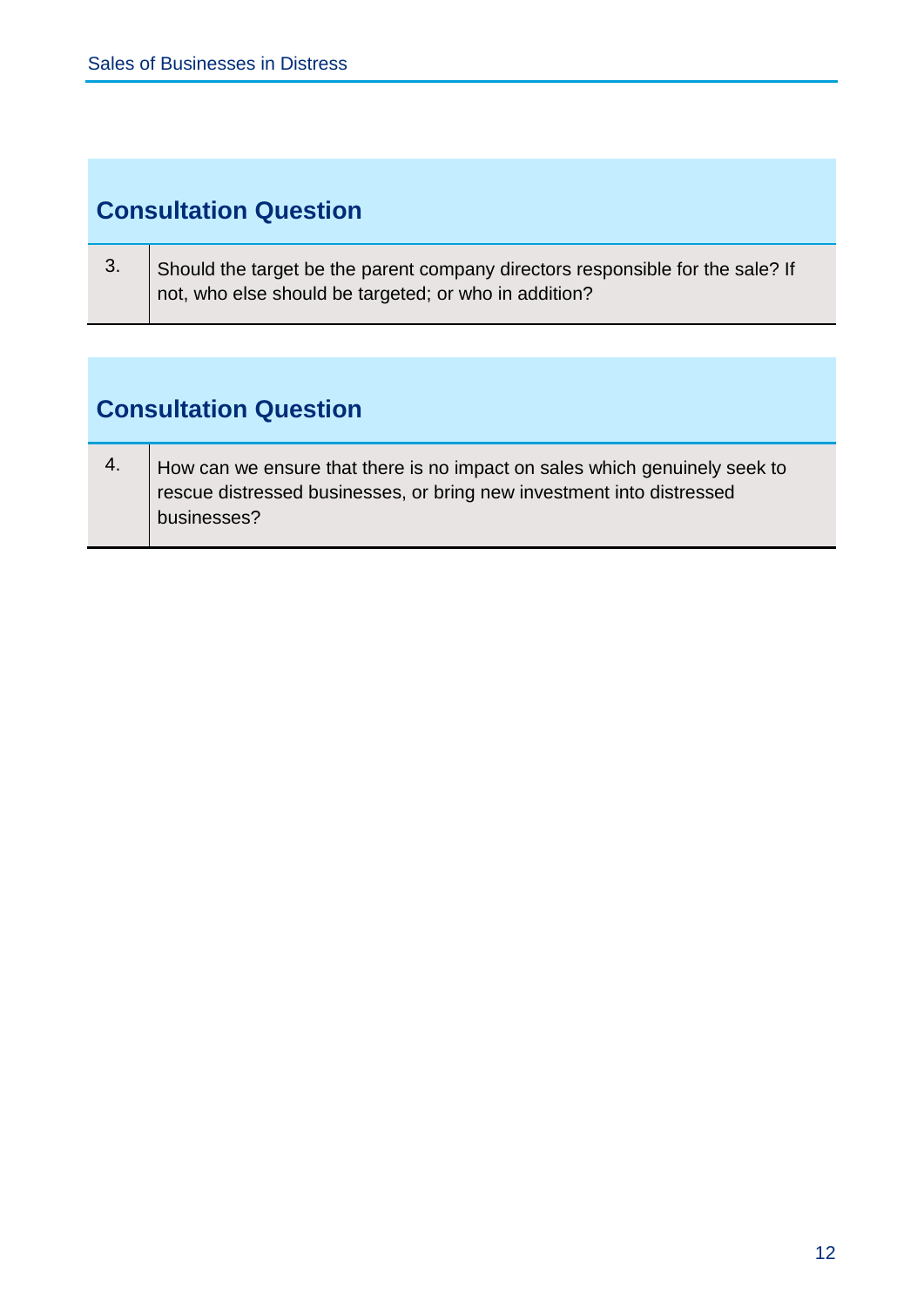# **Consultation Question**

| ు. | Should the target be the parent company directors responsible for the sale? If |
|----|--------------------------------------------------------------------------------|
|    | not, who else should be targeted; or who in addition?                          |

# **Consultation Question**

<u> Tanzania de Carlos de San Francia de San Francia de San Francia de San Francia de San Francia de San Francia </u>

| How can we ensure that there is no impact on sales which genuinely seek to |
|----------------------------------------------------------------------------|
| rescue distressed businesses, or bring new investment into distressed      |
| businesses?                                                                |
|                                                                            |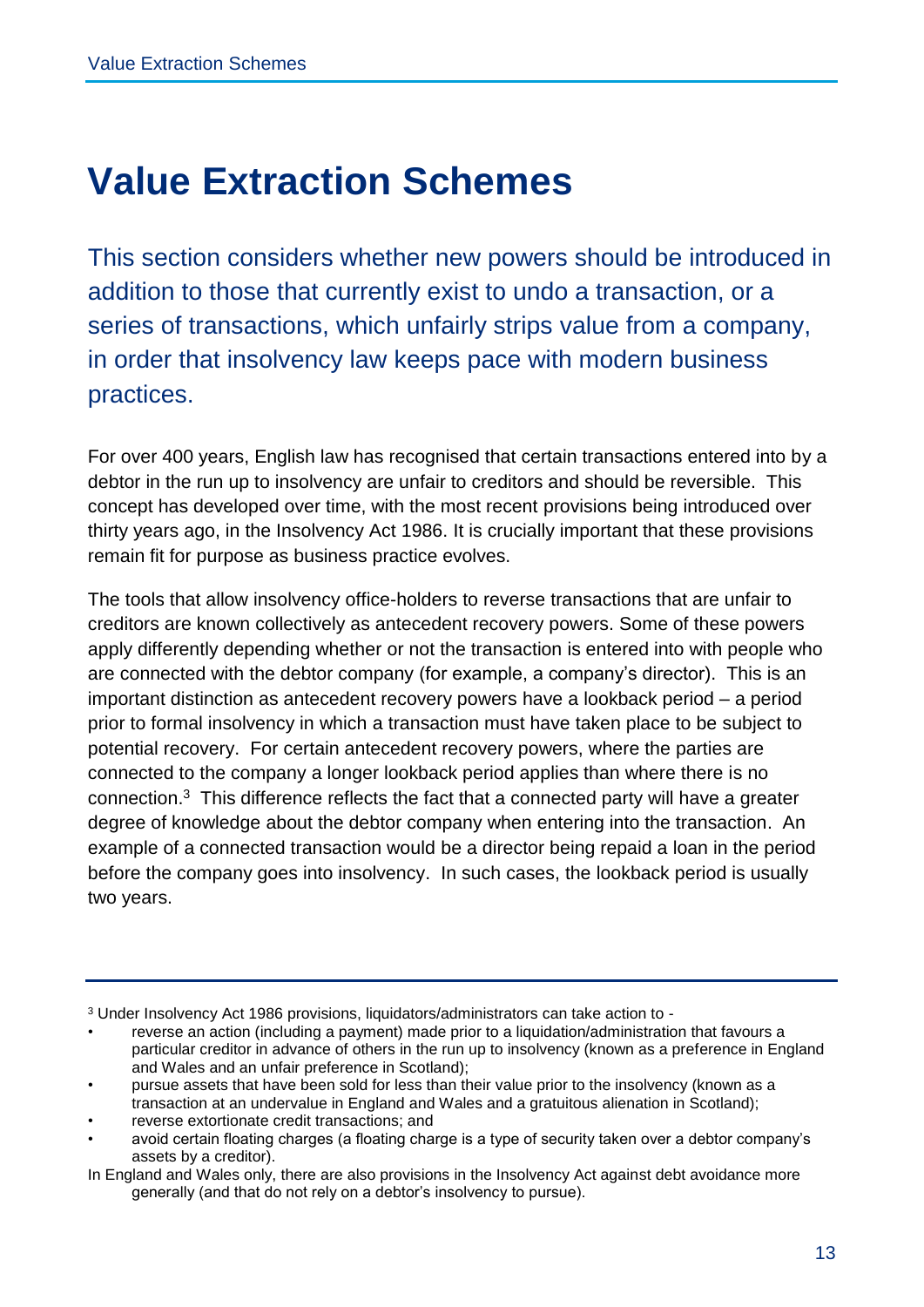# **Value Extraction Schemes**

This section considers whether new powers should be introduced in addition to those that currently exist to undo a transaction, or a series of transactions, which unfairly strips value from a company, in order that insolvency law keeps pace with modern business practices.

For over 400 years, English law has recognised that certain transactions entered into by a debtor in the run up to insolvency are unfair to creditors and should be reversible. This concept has developed over time, with the most recent provisions being introduced over thirty years ago, in the Insolvency Act 1986. It is crucially important that these provisions remain fit for purpose as business practice evolves.

The tools that allow insolvency office-holders to reverse transactions that are unfair to creditors are known collectively as antecedent recovery powers. Some of these powers apply differently depending whether or not the transaction is entered into with people who are connected with the debtor company (for example, a company's director). This is an important distinction as antecedent recovery powers have a lookback period – a period prior to formal insolvency in which a transaction must have taken place to be subject to potential recovery. For certain antecedent recovery powers, where the parties are connected to the company a longer lookback period applies than where there is no connection. 3 This difference reflects the fact that a connected party will have a greater degree of knowledge about the debtor company when entering into the transaction. An example of a connected transaction would be a director being repaid a loan in the period before the company goes into insolvency. In such cases, the lookback period is usually two years.

<sup>3</sup> Under Insolvency Act 1986 provisions, liquidators/administrators can take action to -

<sup>•</sup> reverse an action (including a payment) made prior to a liquidation/administration that favours a particular creditor in advance of others in the run up to insolvency (known as a preference in England and Wales and an unfair preference in Scotland);

<sup>•</sup> pursue assets that have been sold for less than their value prior to the insolvency (known as a transaction at an undervalue in England and Wales and a gratuitous alienation in Scotland);

<sup>•</sup> reverse extortionate credit transactions; and

<sup>•</sup> avoid certain floating charges (a floating charge is a type of security taken over a debtor company's assets by a creditor).

In England and Wales only, there are also provisions in the Insolvency Act against debt avoidance more generally (and that do not rely on a debtor's insolvency to pursue).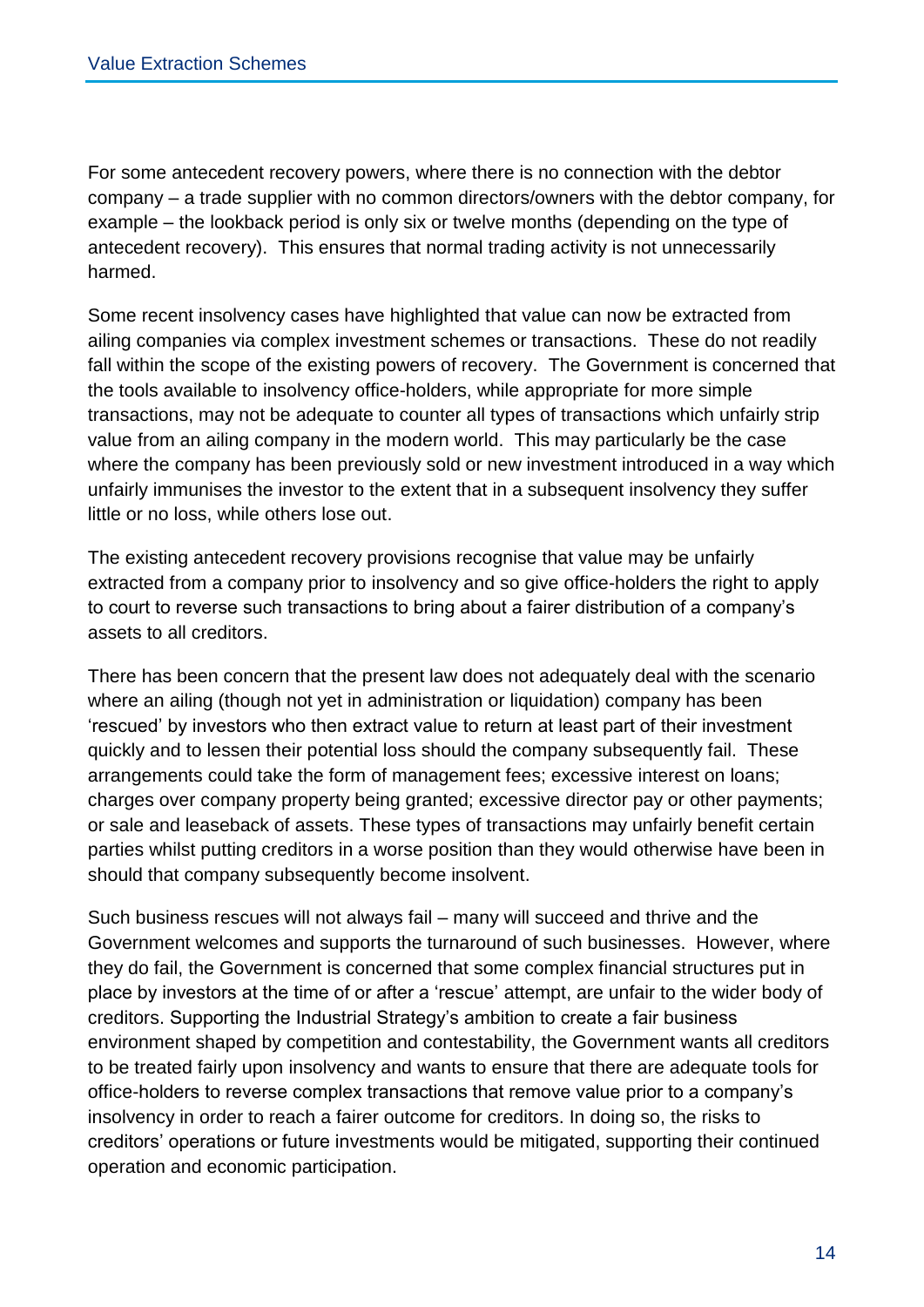For some antecedent recovery powers, where there is no connection with the debtor company – a trade supplier with no common directors/owners with the debtor company, for example – the lookback period is only six or twelve months (depending on the type of antecedent recovery). This ensures that normal trading activity is not unnecessarily harmed.

Some recent insolvency cases have highlighted that value can now be extracted from ailing companies via complex investment schemes or transactions. These do not readily fall within the scope of the existing powers of recovery. The Government is concerned that the tools available to insolvency office-holders, while appropriate for more simple transactions, may not be adequate to counter all types of transactions which unfairly strip value from an ailing company in the modern world. This may particularly be the case where the company has been previously sold or new investment introduced in a way which unfairly immunises the investor to the extent that in a subsequent insolvency they suffer little or no loss, while others lose out.

The existing antecedent recovery provisions recognise that value may be unfairly extracted from a company prior to insolvency and so give office-holders the right to apply to court to reverse such transactions to bring about a fairer distribution of a company's assets to all creditors.

There has been concern that the present law does not adequately deal with the scenario where an ailing (though not yet in administration or liquidation) company has been 'rescued' by investors who then extract value to return at least part of their investment quickly and to lessen their potential loss should the company subsequently fail. These arrangements could take the form of management fees; excessive interest on loans; charges over company property being granted; excessive director pay or other payments; or sale and leaseback of assets. These types of transactions may unfairly benefit certain parties whilst putting creditors in a worse position than they would otherwise have been in should that company subsequently become insolvent.

Such business rescues will not always fail – many will succeed and thrive and the Government welcomes and supports the turnaround of such businesses. However, where they do fail, the Government is concerned that some complex financial structures put in place by investors at the time of or after a 'rescue' attempt, are unfair to the wider body of creditors. Supporting the Industrial Strategy's ambition to create a fair business environment shaped by competition and contestability, the Government wants all creditors to be treated fairly upon insolvency and wants to ensure that there are adequate tools for office-holders to reverse complex transactions that remove value prior to a company's insolvency in order to reach a fairer outcome for creditors. In doing so, the risks to creditors' operations or future investments would be mitigated, supporting their continued operation and economic participation.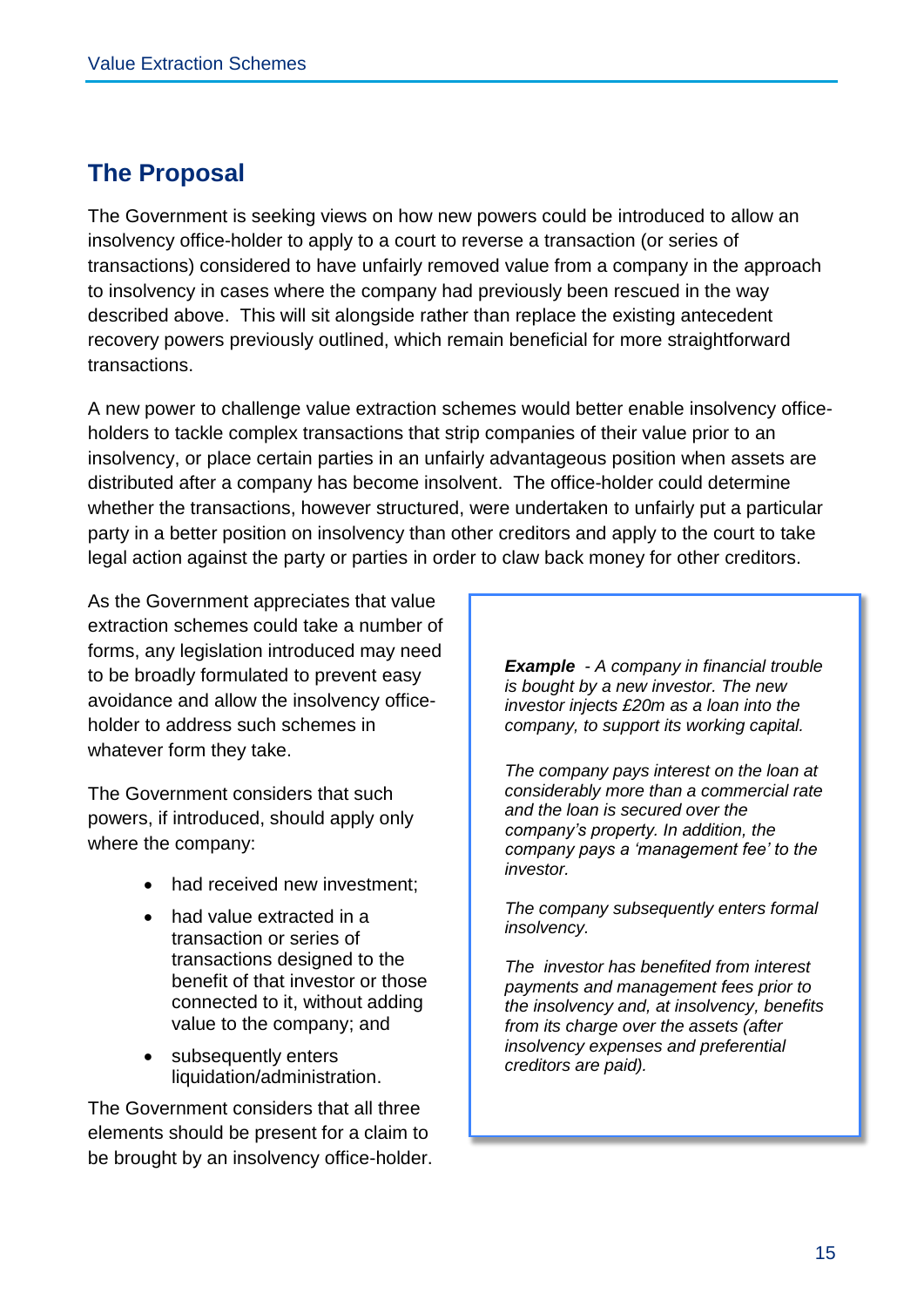## **The Proposal**

The Government is seeking views on how new powers could be introduced to allow an insolvency office-holder to apply to a court to reverse a transaction (or series of transactions) considered to have unfairly removed value from a company in the approach to insolvency in cases where the company had previously been rescued in the way described above. This will sit alongside rather than replace the existing antecedent recovery powers previously outlined, which remain beneficial for more straightforward transactions.

A new power to challenge value extraction schemes would better enable insolvency officeholders to tackle complex transactions that strip companies of their value prior to an insolvency, or place certain parties in an unfairly advantageous position when assets are distributed after a company has become insolvent. The office-holder could determine whether the transactions, however structured, were undertaken to unfairly put a particular party in a better position on insolvency than other creditors and apply to the court to take legal action against the party or parties in order to claw back money for other creditors.

As the Government appreciates that value extraction schemes could take a number of forms, any legislation introduced may need to be broadly formulated to prevent easy avoidance and allow the insolvency officeholder to address such schemes in whatever form they take.

The Government considers that such powers, if introduced, should apply only where the company:

- had received new investment:
- had value extracted in a transaction or series of transactions designed to the benefit of that investor or those connected to it, without adding value to the company; and
- subsequently enters liquidation/administration.

The Government considers that all three elements should be present for a claim to be brought by an insolvency office-holder. *Example - A company in financial trouble is bought by a new investor. The new investor injects £20m as a loan into the company, to support its working capital.* 

*The company pays interest on the loan at considerably more than a commercial rate and the loan is secured over the company's property. In addition, the company pays a 'management fee' to the investor.*

*The company subsequently enters formal insolvency.*

*The investor has benefited from interest payments and management fees prior to the insolvency and, at insolvency, benefits from its charge over the assets (after insolvency expenses and preferential creditors are paid).*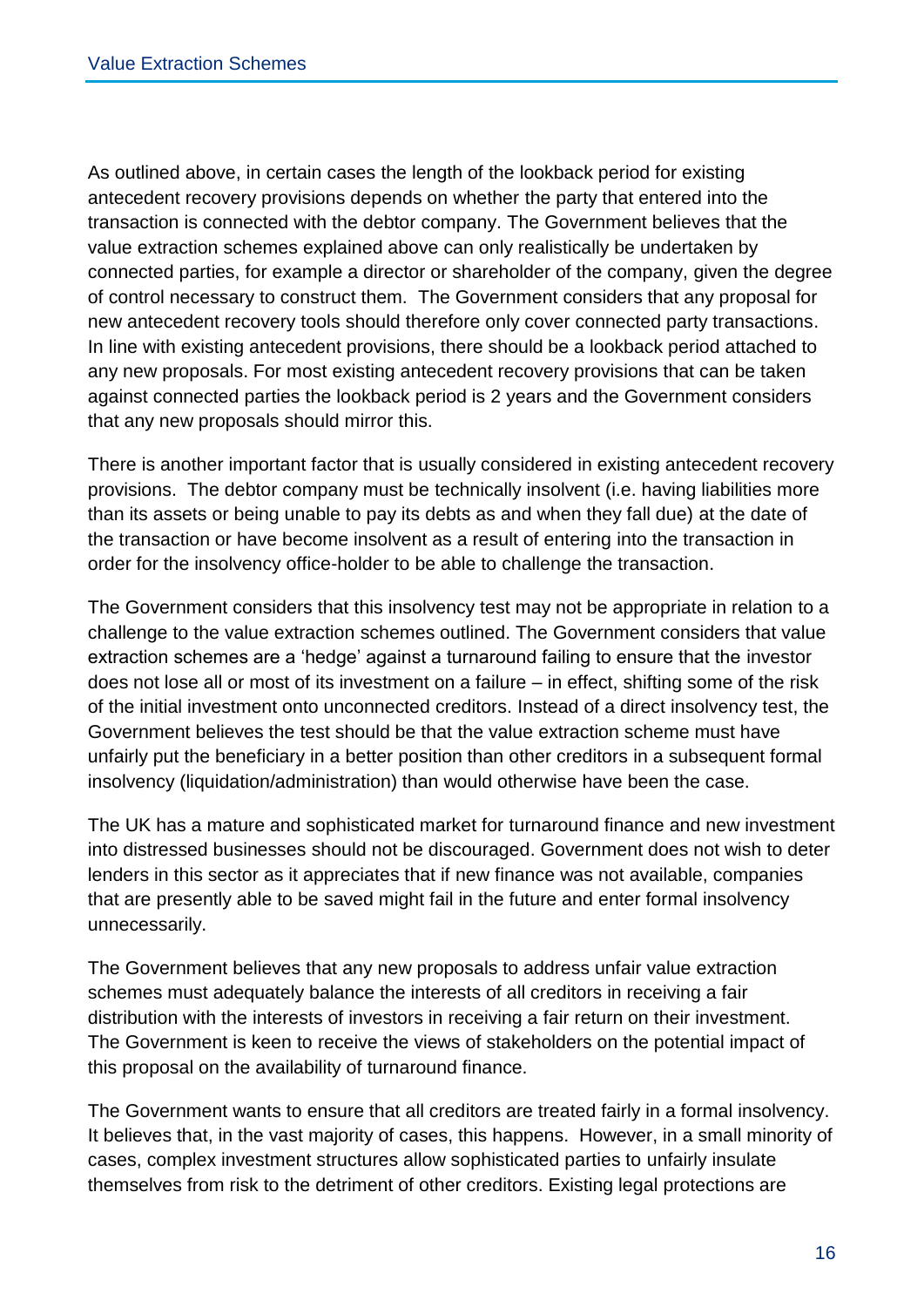As outlined above, in certain cases the length of the lookback period for existing antecedent recovery provisions depends on whether the party that entered into the transaction is connected with the debtor company. The Government believes that the value extraction schemes explained above can only realistically be undertaken by connected parties, for example a director or shareholder of the company, given the degree of control necessary to construct them. The Government considers that any proposal for new antecedent recovery tools should therefore only cover connected party transactions. In line with existing antecedent provisions, there should be a lookback period attached to any new proposals. For most existing antecedent recovery provisions that can be taken against connected parties the lookback period is 2 years and the Government considers that any new proposals should mirror this.

There is another important factor that is usually considered in existing antecedent recovery provisions. The debtor company must be technically insolvent (i.e. having liabilities more than its assets or being unable to pay its debts as and when they fall due) at the date of the transaction or have become insolvent as a result of entering into the transaction in order for the insolvency office-holder to be able to challenge the transaction.

The Government considers that this insolvency test may not be appropriate in relation to a challenge to the value extraction schemes outlined. The Government considers that value extraction schemes are a 'hedge' against a turnaround failing to ensure that the investor does not lose all or most of its investment on a failure – in effect, shifting some of the risk of the initial investment onto unconnected creditors. Instead of a direct insolvency test, the Government believes the test should be that the value extraction scheme must have unfairly put the beneficiary in a better position than other creditors in a subsequent formal insolvency (liquidation/administration) than would otherwise have been the case.

The UK has a mature and sophisticated market for turnaround finance and new investment into distressed businesses should not be discouraged. Government does not wish to deter lenders in this sector as it appreciates that if new finance was not available, companies that are presently able to be saved might fail in the future and enter formal insolvency unnecessarily.

The Government believes that any new proposals to address unfair value extraction schemes must adequately balance the interests of all creditors in receiving a fair distribution with the interests of investors in receiving a fair return on their investment. The Government is keen to receive the views of stakeholders on the potential impact of this proposal on the availability of turnaround finance.

The Government wants to ensure that all creditors are treated fairly in a formal insolvency. It believes that, in the vast majority of cases, this happens. However, in a small minority of cases, complex investment structures allow sophisticated parties to unfairly insulate themselves from risk to the detriment of other creditors. Existing legal protections are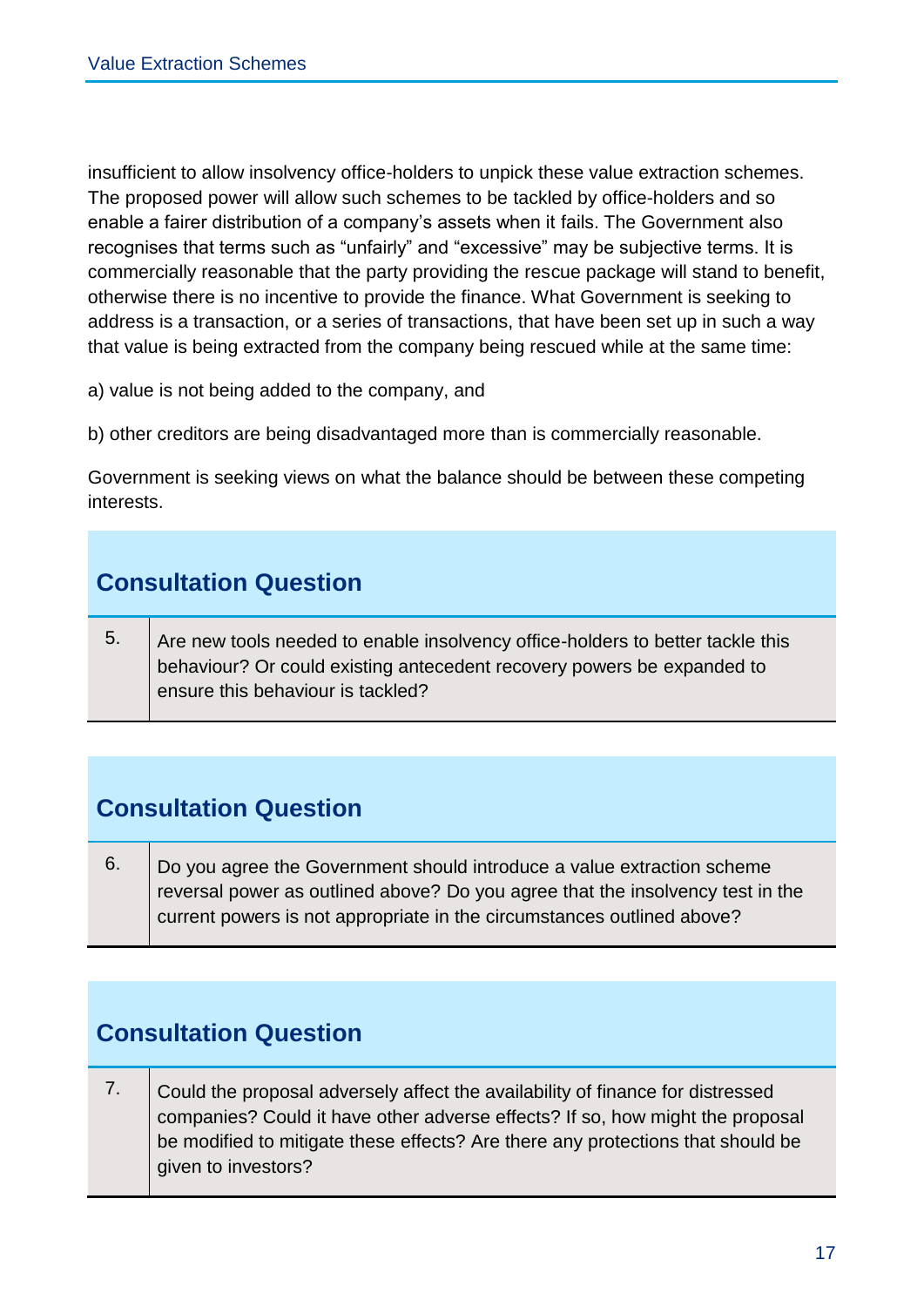insufficient to allow insolvency office-holders to unpick these value extraction schemes. The proposed power will allow such schemes to be tackled by office-holders and so enable a fairer distribution of a company's assets when it fails. The Government also recognises that terms such as "unfairly" and "excessive" may be subjective terms. It is commercially reasonable that the party providing the rescue package will stand to benefit, otherwise there is no incentive to provide the finance. What Government is seeking to address is a transaction, or a series of transactions, that have been set up in such a way that value is being extracted from the company being rescued while at the same time:

a) value is not being added to the company, and

b) other creditors are being disadvantaged more than is commercially reasonable.

Government is seeking views on what the balance should be between these competing interests.

## **Consultation Question**

 $5.$  Are new tools needed to enable insolvency office-holders to better tackle this behaviour? Or could existing antecedent recovery powers be expanded to ensure this behaviour is tackled?

# **Consultation Question**

 $6.$  Do you agree the Government should introduce a value extraction scheme reversal power as outlined above? Do you agree that the insolvency test in the current powers is not appropriate in the circumstances outlined above?

# **Consultation Question**

7. Could the proposal adversely affect the availability of finance for distressed companies? Could it have other adverse effects? If so, how might the proposal be modified to mitigate these effects? Are there any protections that should be given to investors?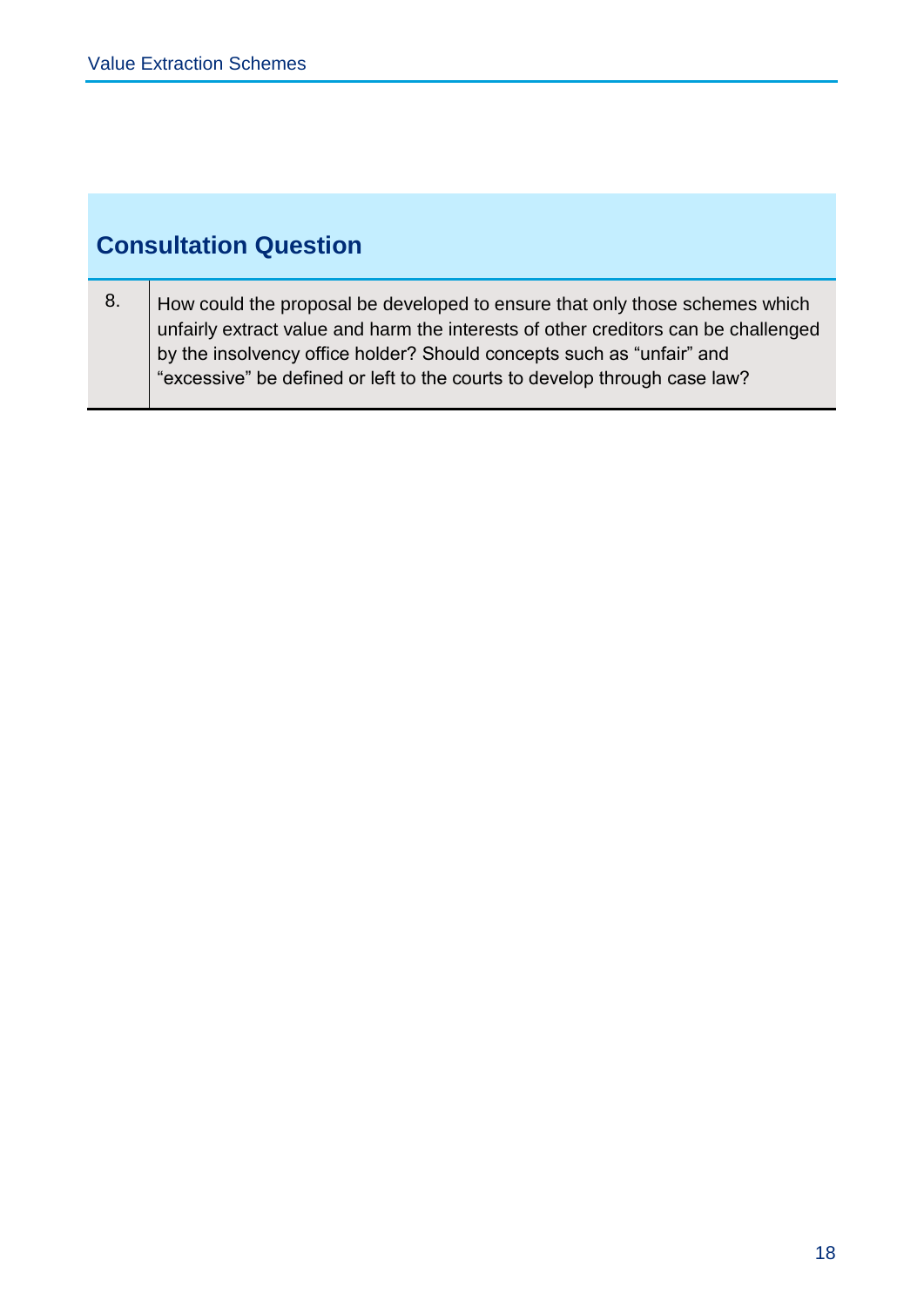# **Consultation Question**

8.  $\vert$  How could the proposal be developed to ensure that only those schemes which unfairly extract value and harm the interests of other creditors can be challenged by the insolvency office holder? Should concepts such as "unfair" and "excessive" be defined or left to the courts to develop through case law?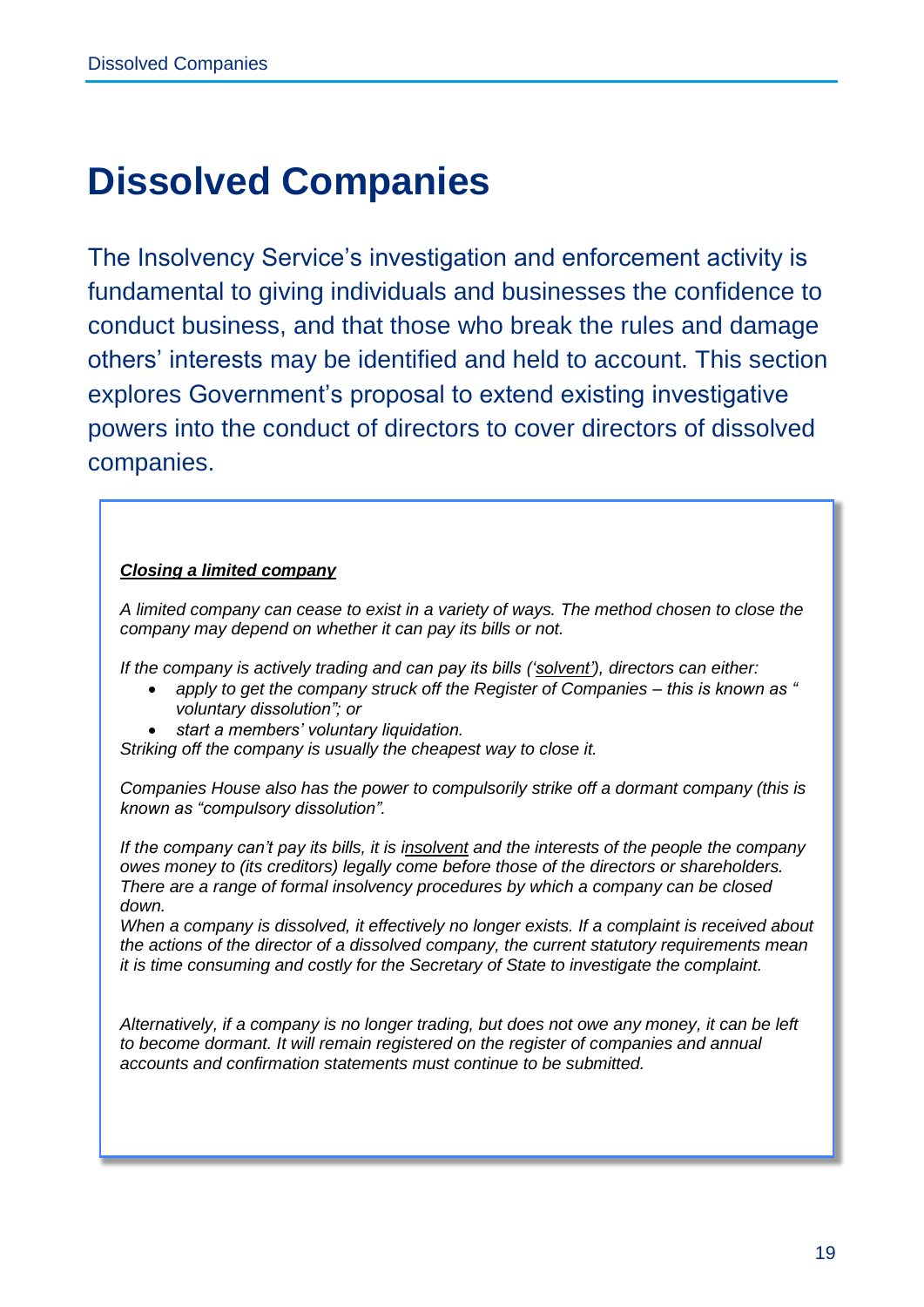# **Dissolved Companies**

The Insolvency Service's investigation and enforcement activity is fundamental to giving individuals and businesses the confidence to conduct business, and that those who break the rules and damage others' interests may be identified and held to account. This section explores Government's proposal to extend existing investigative powers into the conduct of directors to cover directors of dissolved companies.

#### *Closing a limited company*

*A limited company can cease to exist in a variety of ways. The method chosen to close the company may depend on whether it can pay its bills or not.*

*If the company is actively trading and can pay its bills ('solvent'), directors can either:*

- *apply to get the company struck off the Register of Companies – this is known as " voluntary dissolution"; or*
- *start a members' voluntary liquidation.*

*Striking off the company is usually the cheapest way to close it.*

*Companies House also has the power to compulsorily strike off a dormant company (this is known as "compulsory dissolution".*

*If the company can't pay its bills, it is insolvent and the interests of the people the company owes money to (its creditors) legally come before those of the directors or shareholders. There are a range of formal insolvency procedures by which a company can be closed down.*

*When a company is dissolved, it effectively no longer exists. If a complaint is received about the actions of the director of a dissolved company, the current statutory requirements mean it is time consuming and costly for the Secretary of State to investigate the complaint.*

*Alternatively, if a company is no longer trading, but does not owe any money, it can be left to become dormant. It will remain registered on the register of companies and annual accounts and confirmation statements must continue to be submitted.*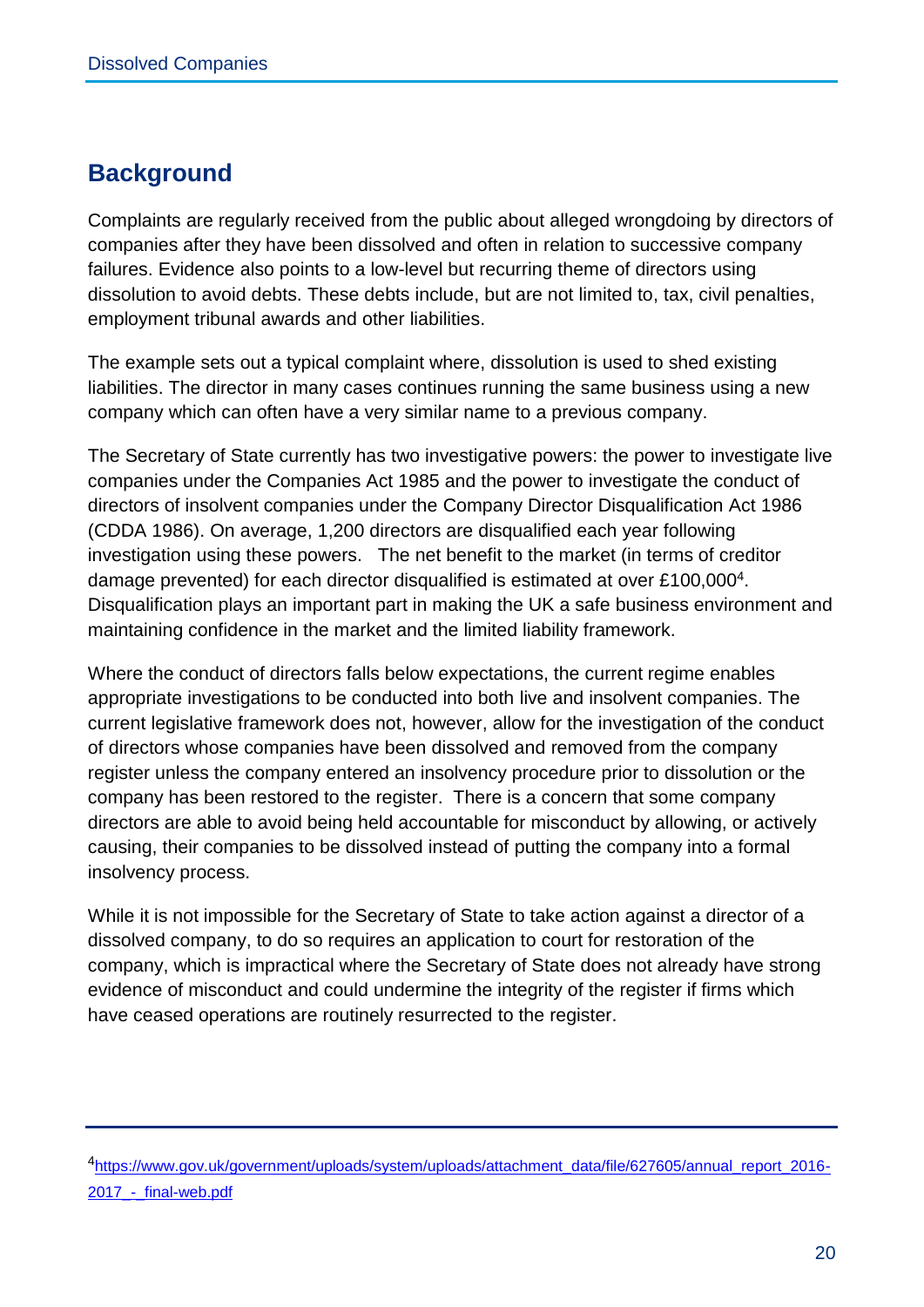## **Background**

Complaints are regularly received from the public about alleged wrongdoing by directors of companies after they have been dissolved and often in relation to successive company failures. Evidence also points to a low-level but recurring theme of directors using dissolution to avoid debts. These debts include, but are not limited to, tax, civil penalties, employment tribunal awards and other liabilities.

The example sets out a typical complaint where, dissolution is used to shed existing liabilities. The director in many cases continues running the same business using a new company which can often have a very similar name to a previous company.

The Secretary of State currently has two investigative powers: the power to investigate live companies under the Companies Act 1985 and the power to investigate the conduct of directors of insolvent companies under the Company Director Disqualification Act 1986 (CDDA 1986). On average, 1,200 directors are disqualified each year following investigation using these powers. The net benefit to the market (in terms of creditor damage prevented) for each director disqualified is estimated at over £100,000<sup>4</sup>. Disqualification plays an important part in making the UK a safe business environment and maintaining confidence in the market and the limited liability framework.

Where the conduct of directors falls below expectations, the current regime enables appropriate investigations to be conducted into both live and insolvent companies. The current legislative framework does not, however, allow for the investigation of the conduct of directors whose companies have been dissolved and removed from the company register unless the company entered an insolvency procedure prior to dissolution or the company has been restored to the register. There is a concern that some company directors are able to avoid being held accountable for misconduct by allowing, or actively causing, their companies to be dissolved instead of putting the company into a formal insolvency process.

While it is not impossible for the Secretary of State to take action against a director of a dissolved company, to do so requires an application to court for restoration of the company, which is impractical where the Secretary of State does not already have strong evidence of misconduct and could undermine the integrity of the register if firms which have ceased operations are routinely resurrected to the register.

<sup>4</sup>[https://www.gov.uk/government/uploads/system/uploads/attachment\\_data/file/627605/annual\\_report\\_2016-](https://www.gov.uk/government/uploads/system/uploads/attachment_data/file/627605/annual_report_2016-2017_-_final-web.pdf) [2017\\_-\\_final-web.pdf](https://www.gov.uk/government/uploads/system/uploads/attachment_data/file/627605/annual_report_2016-2017_-_final-web.pdf)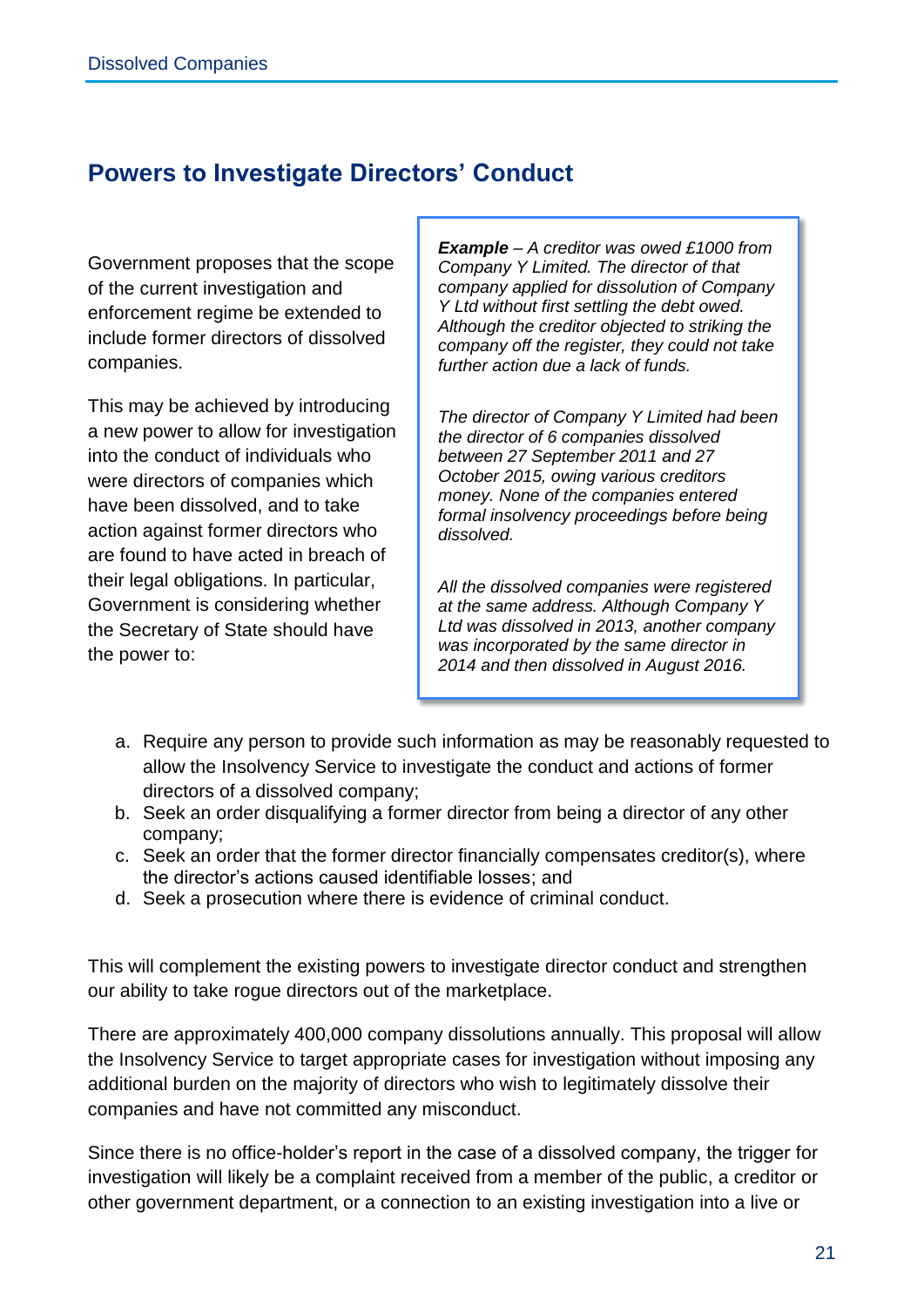### **Powers to Investigate Directors' Conduct**

Government proposes that the scope of the current investigation and enforcement regime be extended to include former directors of dissolved companies.

This may be achieved by introducing a new power to allow for investigation into the conduct of individuals who were directors of companies which have been dissolved, and to take action against former directors who are found to have acted in breach of their legal obligations. In particular, Government is considering whether the Secretary of State should have the power to:

*Example – A creditor was owed £1000 from Company Y Limited. The director of that company applied for dissolution of Company Y Ltd without first settling the debt owed. Although the creditor objected to striking the company off the register, they could not take further action due a lack of funds.* 

*The director of Company Y Limited had been the director of 6 companies dissolved between 27 September 2011 and 27 October 2015, owing various creditors money. None of the companies entered formal insolvency proceedings before being dissolved.* 

*All the dissolved companies were registered at the same address. Although Company Y Ltd was dissolved in 2013, another company was incorporated by the same director in 2014 and then dissolved in August 2016.*

- a. Require any person to provide such information as may be reasonably requested to allow the Insolvency Service to investigate the conduct and actions of former directors of a dissolved company;
- b. Seek an order disqualifying a former director from being a director of any other company;
- c. Seek an order that the former director financially compensates creditor(s), where the director's actions caused identifiable losses; and
- d. Seek a prosecution where there is evidence of criminal conduct.

This will complement the existing powers to investigate director conduct and strengthen our ability to take rogue directors out of the marketplace.

There are approximately 400,000 company dissolutions annually. This proposal will allow the Insolvency Service to target appropriate cases for investigation without imposing any additional burden on the majority of directors who wish to legitimately dissolve their companies and have not committed any misconduct.

Since there is no office-holder's report in the case of a dissolved company, the trigger for investigation will likely be a complaint received from a member of the public, a creditor or other government department, or a connection to an existing investigation into a live or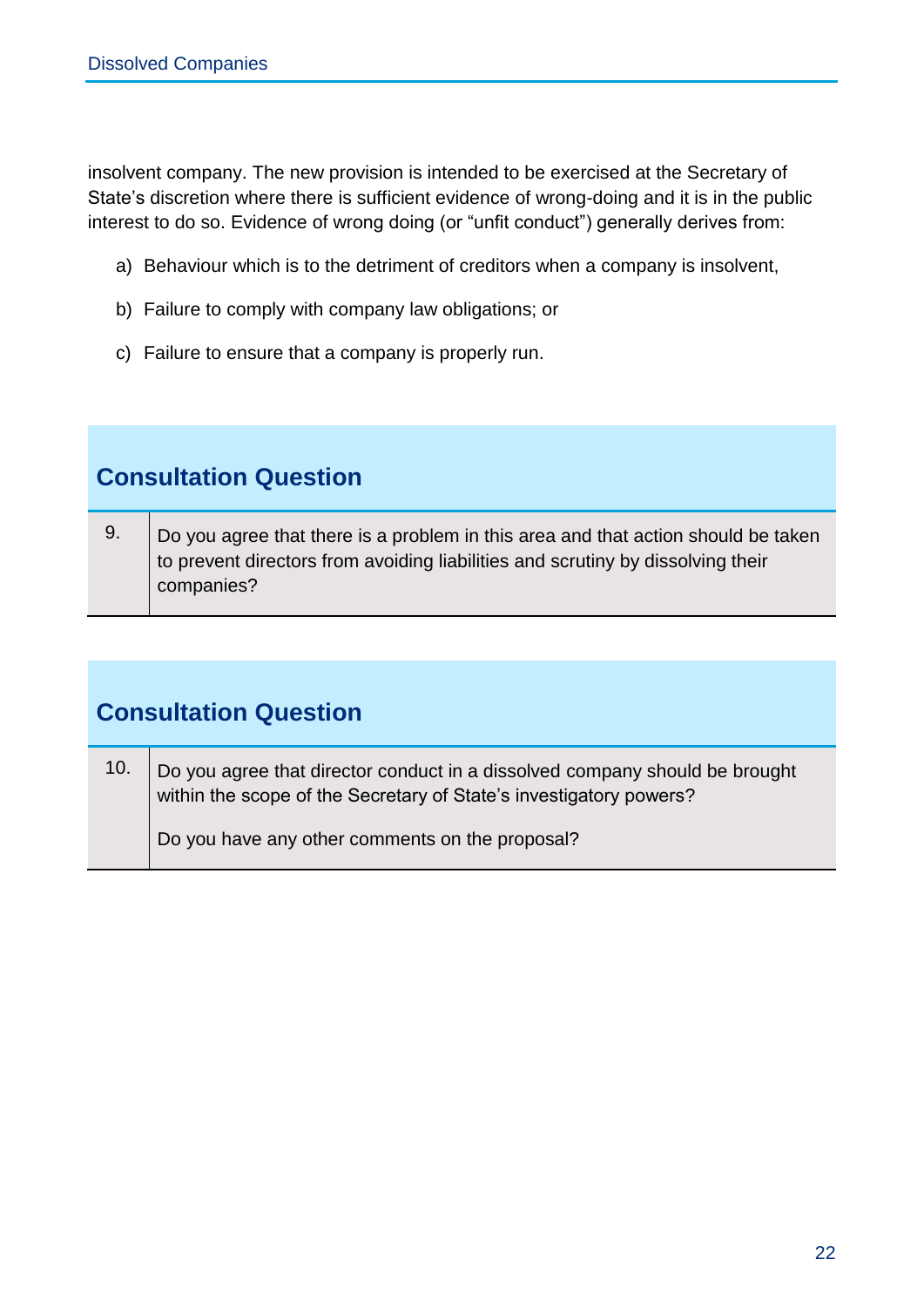insolvent company. The new provision is intended to be exercised at the Secretary of State's discretion where there is sufficient evidence of wrong-doing and it is in the public interest to do so. Evidence of wrong doing (or "unfit conduct") generally derives from:

- a) Behaviour which is to the detriment of creditors when a company is insolvent,
- b) Failure to comply with company law obligations; or
- c) Failure to ensure that a company is properly run.

# **Consultation Question**

9.  $\Box$  Do you agree that there is a problem in this area and that action should be taken to prevent directors from avoiding liabilities and scrutiny by dissolving their companies?

## **Consultation Question**

10.  $\Box$  Do you agree that director conduct in a dissolved company should be brought within the scope of the Secretary of State's investigatory powers?

Do you have any other comments on the proposal?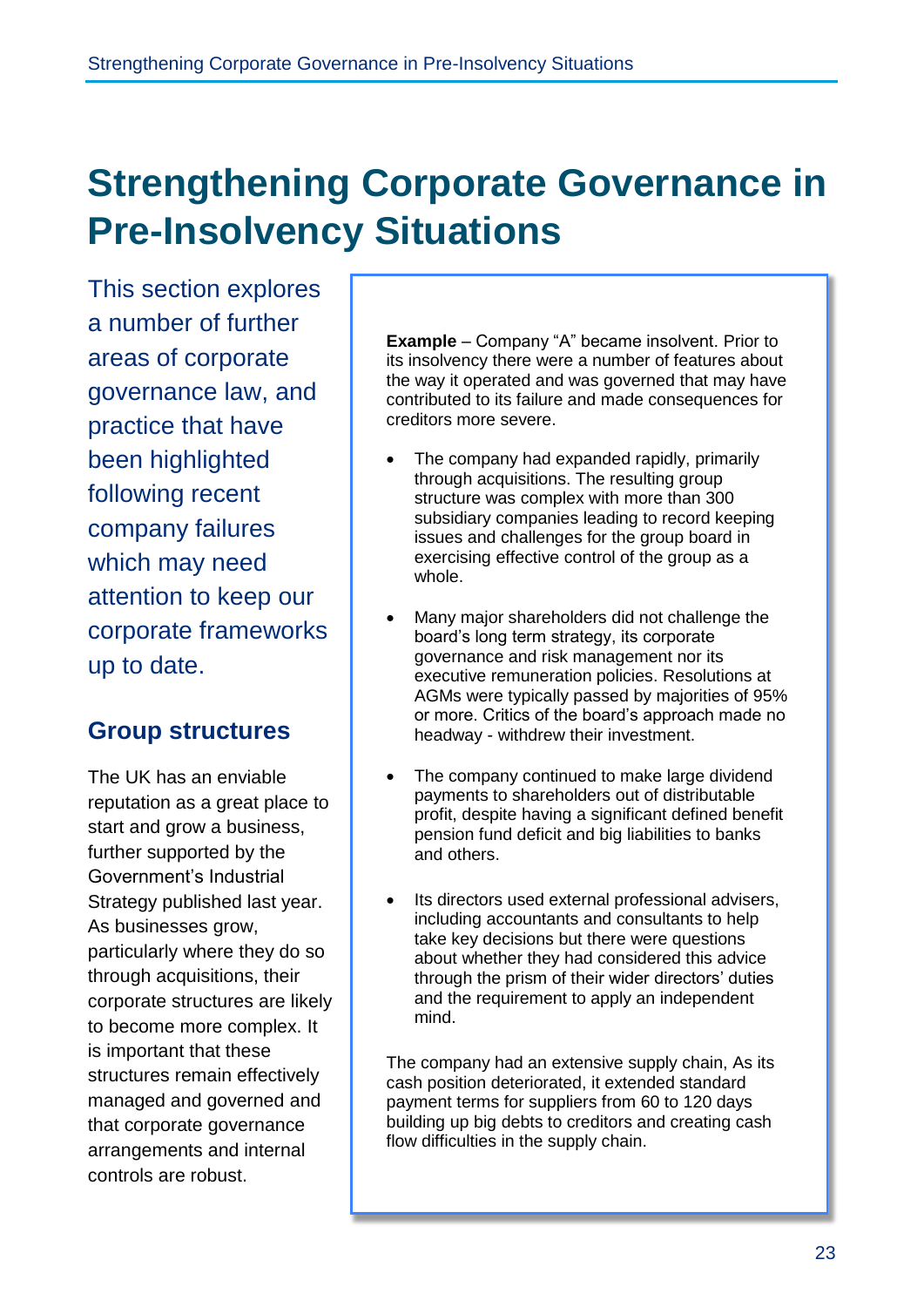# **Strengthening Corporate Governance in Pre-Insolvency Situations**

This section explores a number of further areas of corporate governance law, and practice that have been highlighted following recent company failures which may need attention to keep our corporate frameworks up to date.

### **Group structures**

The UK has an enviable reputation as a great place to start and grow a business, further supported by the Government's Industrial Strategy published last year. As businesses grow, particularly where they do so through acquisitions, their corporate structures are likely to become more complex. It is important that these structures remain effectively managed and governed and that corporate governance arrangements and internal controls are robust.

**Example** – Company "A" became insolvent. Prior to its insolvency there were a number of features about the way it operated and was governed that may have contributed to its failure and made consequences for creditors more severe.

- The company had expanded rapidly, primarily through acquisitions. The resulting group structure was complex with more than 300 subsidiary companies leading to record keeping issues and challenges for the group board in exercising effective control of the group as a whole.
- Many major shareholders did not challenge the board's long term strategy, its corporate governance and risk management nor its executive remuneration policies. Resolutions at AGMs were typically passed by majorities of 95% or more. Critics of the board's approach made no headway - withdrew their investment.
- The company continued to make large dividend payments to shareholders out of distributable profit, despite having a significant defined benefit pension fund deficit and big liabilities to banks and others.
- Its directors used external professional advisers, including accountants and consultants to help take key decisions but there were questions about whether they had considered this advice through the prism of their wider directors' duties and the requirement to apply an independent mind.

The company had an extensive supply chain, As its cash position deteriorated, it extended standard payment terms for suppliers from 60 to 120 days building up big debts to creditors and creating cash flow difficulties in the supply chain.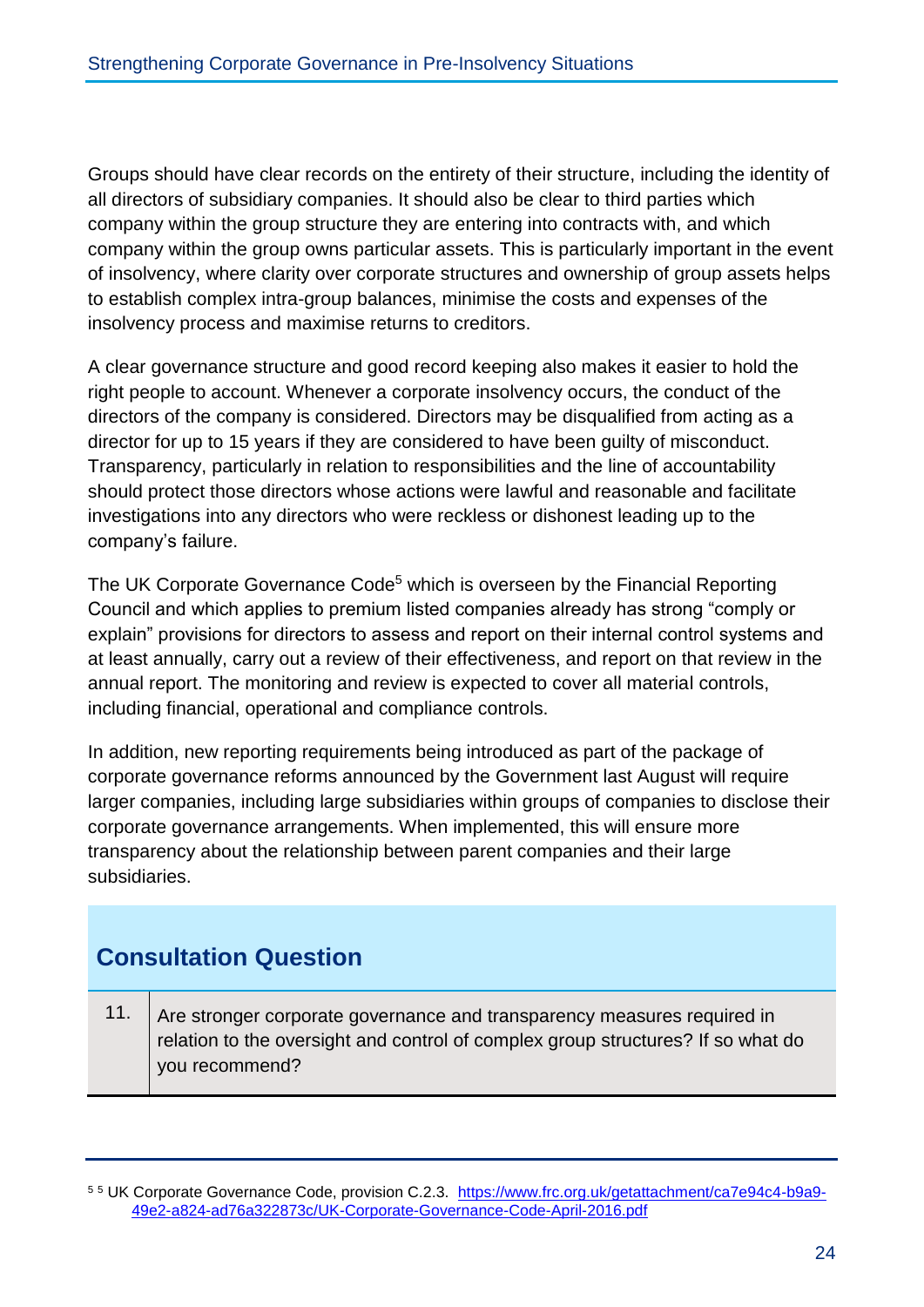Groups should have clear records on the entirety of their structure, including the identity of all directors of subsidiary companies. It should also be clear to third parties which company within the group structure they are entering into contracts with, and which company within the group owns particular assets. This is particularly important in the event of insolvency, where clarity over corporate structures and ownership of group assets helps to establish complex intra-group balances, minimise the costs and expenses of the insolvency process and maximise returns to creditors.

A clear governance structure and good record keeping also makes it easier to hold the right people to account. Whenever a corporate insolvency occurs, the conduct of the directors of the company is considered. Directors may be disqualified from acting as a director for up to 15 years if they are considered to have been guilty of misconduct. Transparency, particularly in relation to responsibilities and the line of accountability should protect those directors whose actions were lawful and reasonable and facilitate investigations into any directors who were reckless or dishonest leading up to the company's failure.

The UK Corporate Governance Code<sup>5</sup> which is overseen by the Financial Reporting Council and which applies to premium listed companies already has strong "comply or explain" provisions for directors to assess and report on their internal control systems and at least annually, carry out a review of their effectiveness, and report on that review in the annual report. The monitoring and review is expected to cover all material controls, including financial, operational and compliance controls.

In addition, new reporting requirements being introduced as part of the package of corporate governance reforms announced by the Government last August will require larger companies, including large subsidiaries within groups of companies to disclose their corporate governance arrangements. When implemented, this will ensure more transparency about the relationship between parent companies and their large subsidiaries.

# **Consultation Question**

11. Are stronger corporate governance and transparency measures required in relation to the oversight and control of complex group structures? If so what do you recommend?

<sup>5</sup> <sup>5</sup> UK Corporate Governance Code, provision C.2.3. [https://www.frc.org.uk/getattachment/ca7e94c4-b9a9-](https://www.frc.org.uk/getattachment/ca7e94c4-b9a9-49e2-a824-ad76a322873c/UK-Corporate-Governance-Code-April-2016.pdf) [49e2-a824-ad76a322873c/UK-Corporate-Governance-Code-April-2016.pdf](https://www.frc.org.uk/getattachment/ca7e94c4-b9a9-49e2-a824-ad76a322873c/UK-Corporate-Governance-Code-April-2016.pdf)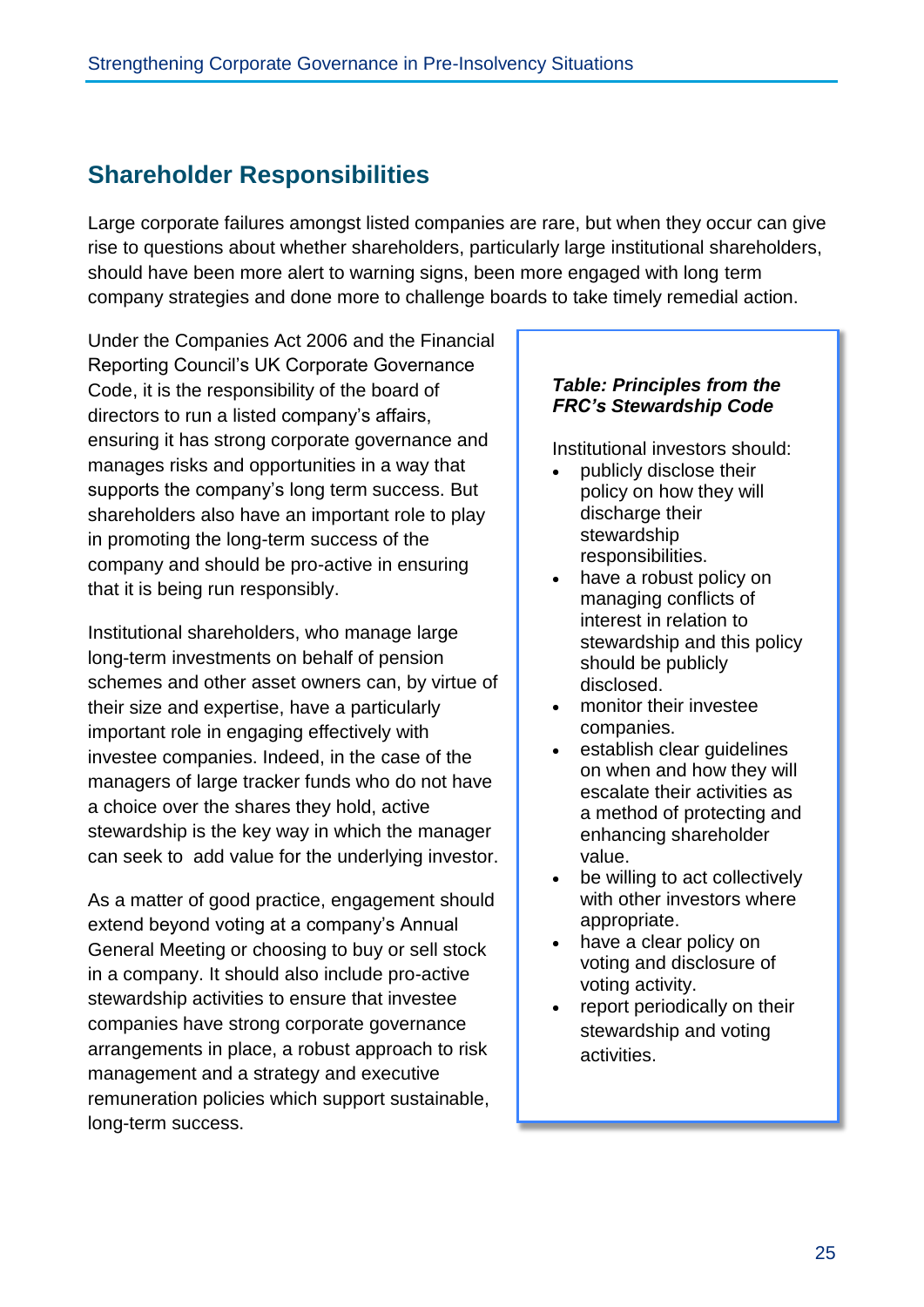# **Shareholder Responsibilities**

Large corporate failures amongst listed companies are rare, but when they occur can give rise to questions about whether shareholders, particularly large institutional shareholders, should have been more alert to warning signs, been more engaged with long term company strategies and done more to challenge boards to take timely remedial action.

Under the Companies Act 2006 and the Financial Reporting Council's UK Corporate Governance Code, it is the responsibility of the board of directors to run a listed company's affairs, ensuring it has strong corporate governance and manages risks and opportunities in a way that supports the company's long term success. But shareholders also have an important role to play in promoting the long-term success of the company and should be pro-active in ensuring that it is being run responsibly.

Institutional shareholders, who manage large long-term investments on behalf of pension schemes and other asset owners can, by virtue of their size and expertise, have a particularly important role in engaging effectively with investee companies. Indeed, in the case of the managers of large tracker funds who do not have a choice over the shares they hold, active stewardship is the key way in which the manager can seek to add value for the underlying investor.

As a matter of good practice, engagement should extend beyond voting at a company's Annual General Meeting or choosing to buy or sell stock in a company. It should also include pro-active stewardship activities to ensure that investee companies have strong corporate governance arrangements in place, a robust approach to risk management and a strategy and executive remuneration policies which support sustainable, long-term success.

### *Table: Principles from the FRC's Stewardship Code*

Institutional investors should:

- publicly disclose their policy on how they will discharge their stewardship responsibilities.
- have a robust policy on managing conflicts of interest in relation to stewardship and this policy should be publicly disclosed.
- monitor their investee companies.
- establish clear guidelines on when and how they will escalate their activities as a method of protecting and enhancing shareholder value.
- be willing to act collectively with other investors where appropriate.
- have a clear policy on voting and disclosure of voting activity.
- report periodically on their stewardship and voting activities.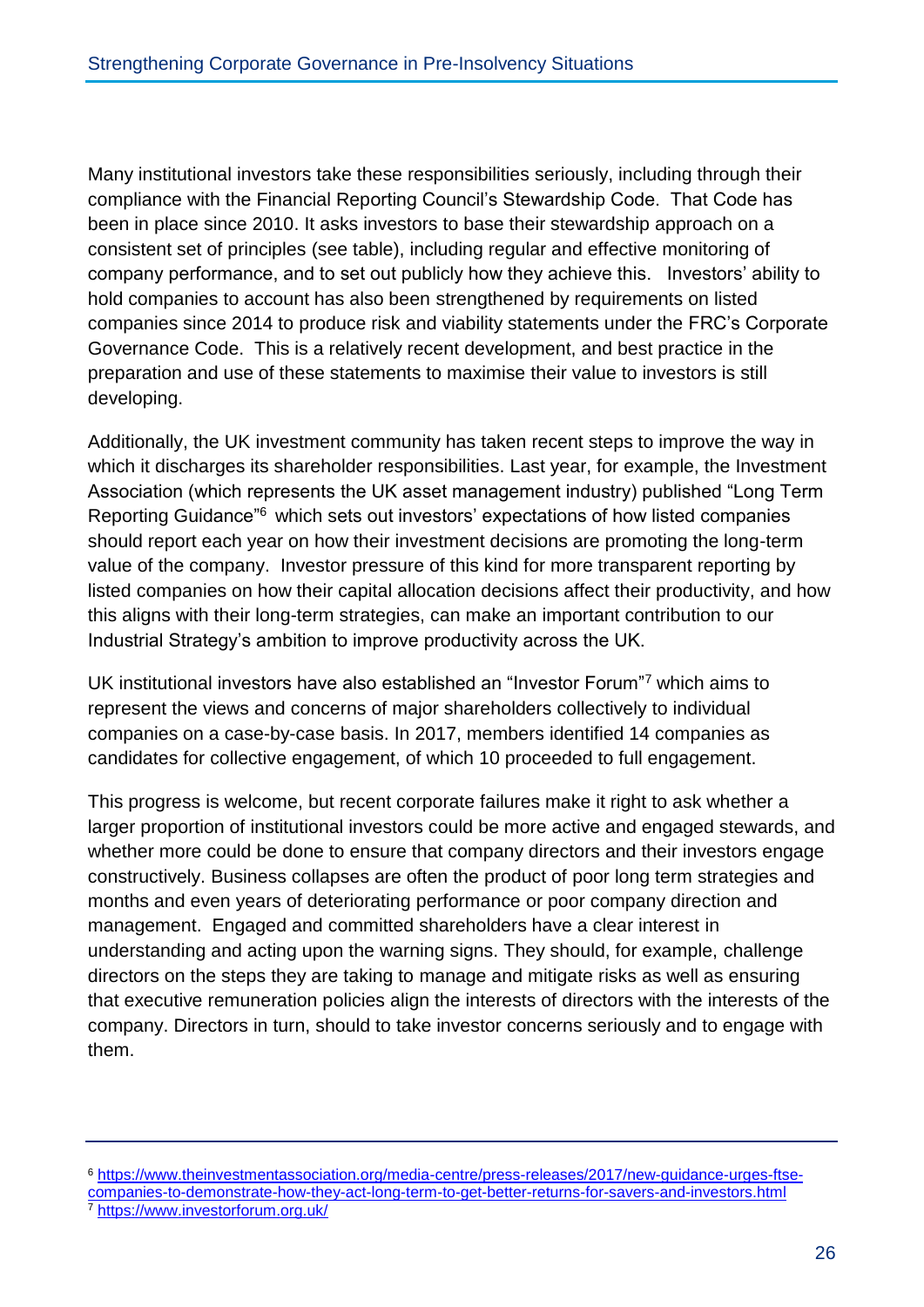Many institutional investors take these responsibilities seriously, including through their compliance with the Financial Reporting Council's Stewardship Code. That Code has been in place since 2010. It asks investors to base their stewardship approach on a consistent set of principles (see table), including regular and effective monitoring of company performance, and to set out publicly how they achieve this. Investors' ability to hold companies to account has also been strengthened by requirements on listed companies since 2014 to produce risk and viability statements under the FRC's Corporate Governance Code. This is a relatively recent development, and best practice in the preparation and use of these statements to maximise their value to investors is still developing.

Additionally, the UK investment community has taken recent steps to improve the way in which it discharges its shareholder responsibilities. Last year, for example, the Investment Association (which represents the UK asset management industry) published "Long Term Reporting Guidance"<sup>6</sup> which sets out investors' expectations of how listed companies should report each year on how their investment decisions are promoting the long-term value of the company. Investor pressure of this kind for more transparent reporting by listed companies on how their capital allocation decisions affect their productivity, and how this aligns with their long-term strategies, can make an important contribution to our Industrial Strategy's ambition to improve productivity across the UK.

UK institutional investors have also established an "Investor Forum"<sup>7</sup> which aims to represent the views and concerns of major shareholders collectively to individual companies on a case-by-case basis. In 2017, members identified 14 companies as candidates for collective engagement, of which 10 proceeded to full engagement.

This progress is welcome, but recent corporate failures make it right to ask whether a larger proportion of institutional investors could be more active and engaged stewards, and whether more could be done to ensure that company directors and their investors engage constructively. Business collapses are often the product of poor long term strategies and months and even years of deteriorating performance or poor company direction and management. Engaged and committed shareholders have a clear interest in understanding and acting upon the warning signs. They should, for example, challenge directors on the steps they are taking to manage and mitigate risks as well as ensuring that executive remuneration policies align the interests of directors with the interests of the company. Directors in turn, should to take investor concerns seriously and to engage with them.

<sup>6</sup> [https://www.theinvestmentassociation.org/media-centre/press-releases/2017/new-guidance-urges-ftse](https://www.theinvestmentassociation.org/media-centre/press-releases/2017/new-guidance-urges-ftse-companies-to-demonstrate-how-they-act-long-term-to-get-better-returns-for-savers-and-investors.html)[companies-to-demonstrate-how-they-act-long-term-to-get-better-returns-for-savers-and-investors.html](https://www.theinvestmentassociation.org/media-centre/press-releases/2017/new-guidance-urges-ftse-companies-to-demonstrate-how-they-act-long-term-to-get-better-returns-for-savers-and-investors.html)

<sup>7</sup> <https://www.investorforum.org.uk/>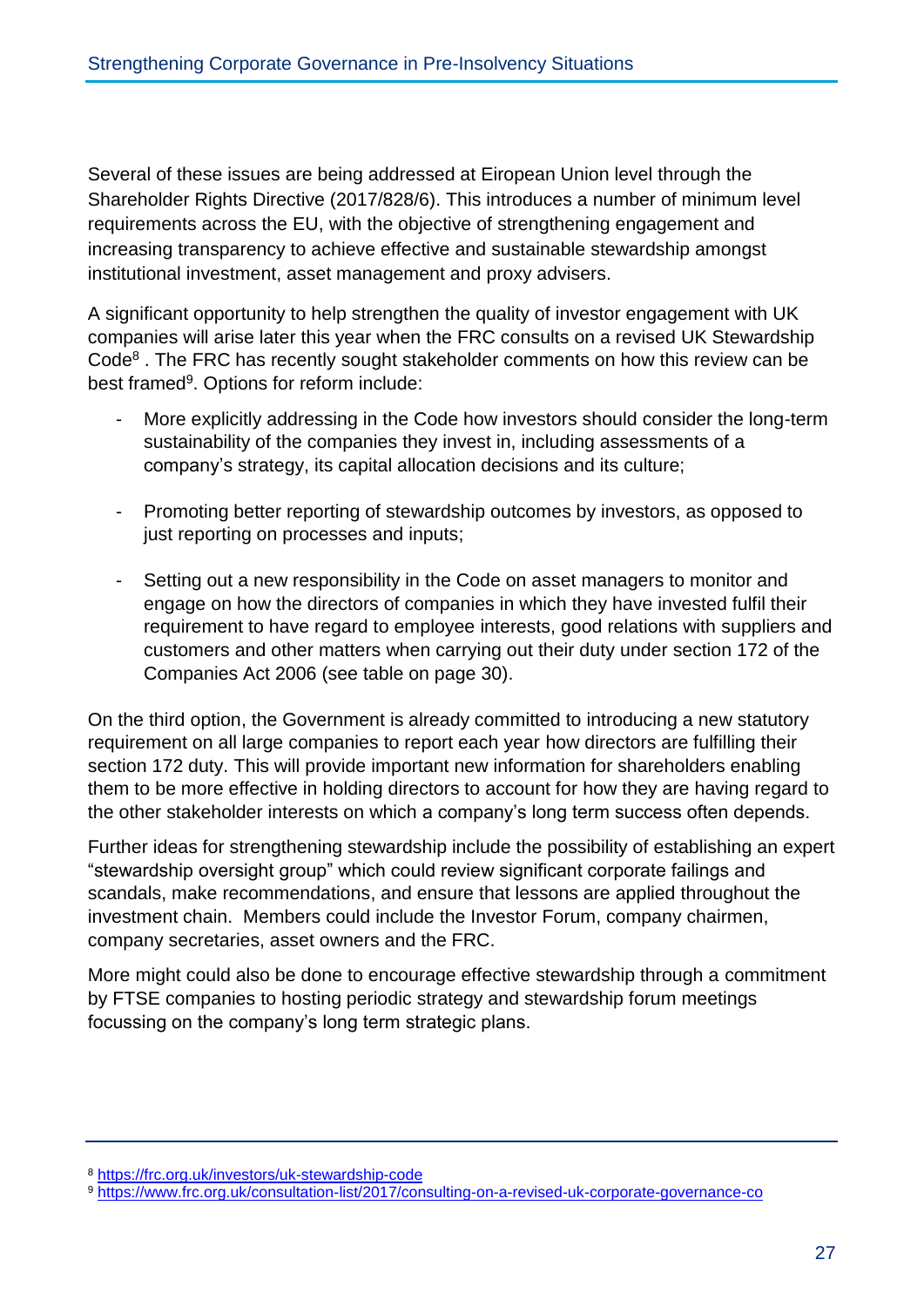Several of these issues are being addressed at Eiropean Union level through the Shareholder Rights Directive (2017/828/6). This introduces a number of minimum level requirements across the EU, with the objective of strengthening engagement and increasing transparency to achieve effective and sustainable stewardship amongst institutional investment, asset management and proxy advisers.

A significant opportunity to help strengthen the quality of investor engagement with UK companies will arise later this year when the FRC consults on a revised UK Stewardship Code<sup>8</sup>. The FRC has recently sought stakeholder comments on how this review can be best framed<sup>9</sup>. Options for reform include:

- More explicitly addressing in the Code how investors should consider the long-term sustainability of the companies they invest in, including assessments of a company's strategy, its capital allocation decisions and its culture;
- Promoting better reporting of stewardship outcomes by investors, as opposed to just reporting on processes and inputs;
- Setting out a new responsibility in the Code on asset managers to monitor and engage on how the directors of companies in which they have invested fulfil their requirement to have regard to employee interests, good relations with suppliers and customers and other matters when carrying out their duty under section 172 of the Companies Act 2006 (see table on page 30).

On the third option, the Government is already committed to introducing a new statutory requirement on all large companies to report each year how directors are fulfilling their section 172 duty. This will provide important new information for shareholders enabling them to be more effective in holding directors to account for how they are having regard to the other stakeholder interests on which a company's long term success often depends.

Further ideas for strengthening stewardship include the possibility of establishing an expert "stewardship oversight group" which could review significant corporate failings and scandals, make recommendations, and ensure that lessons are applied throughout the investment chain. Members could include the Investor Forum, company chairmen, company secretaries, asset owners and the FRC.

More might could also be done to encourage effective stewardship through a commitment by FTSE companies to hosting periodic strategy and stewardship forum meetings focussing on the company's long term strategic plans.

<sup>8</sup> <https://frc.org.uk/investors/uk-stewardship-code>

<sup>9</sup> <https://www.frc.org.uk/consultation-list/2017/consulting-on-a-revised-uk-corporate-governance-co>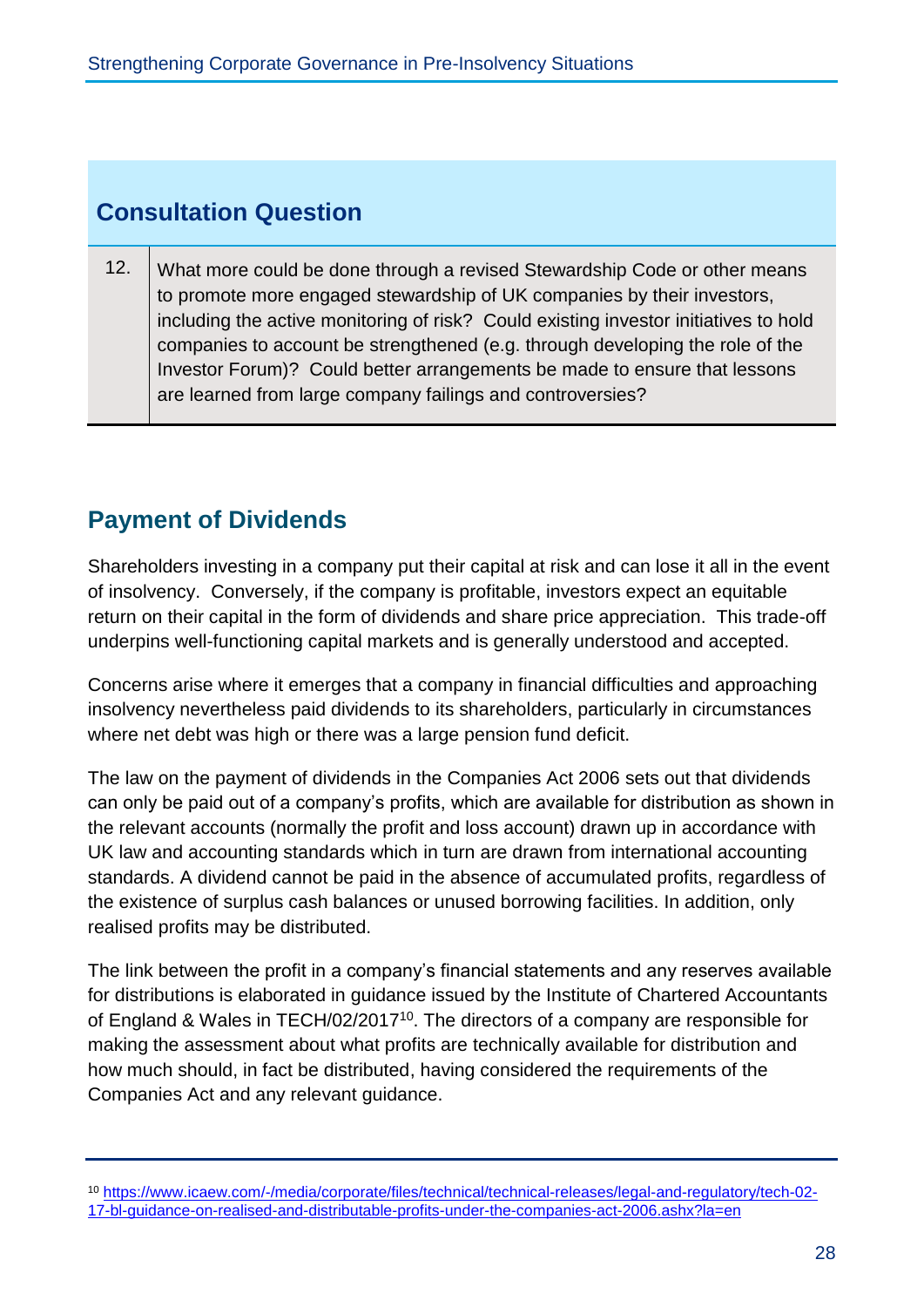## **Consultation Question**

12. What more could be done through a revised Stewardship Code or other means to promote more engaged stewardship of UK companies by their investors, including the active monitoring of risk? Could existing investor initiatives to hold companies to account be strengthened (e.g. through developing the role of the Investor Forum)? Could better arrangements be made to ensure that lessons are learned from large company failings and controversies?

# **Payment of Dividends**

Shareholders investing in a company put their capital at risk and can lose it all in the event of insolvency. Conversely, if the company is profitable, investors expect an equitable return on their capital in the form of dividends and share price appreciation. This trade-off underpins well-functioning capital markets and is generally understood and accepted.

Concerns arise where it emerges that a company in financial difficulties and approaching insolvency nevertheless paid dividends to its shareholders, particularly in circumstances where net debt was high or there was a large pension fund deficit.

The law on the payment of dividends in the Companies Act 2006 sets out that dividends can only be paid out of a company's profits, which are available for distribution as shown in the relevant accounts (normally the profit and loss account) drawn up in accordance with UK law and accounting standards which in turn are drawn from international accounting standards. A dividend cannot be paid in the absence of accumulated profits, regardless of the existence of surplus cash balances or unused borrowing facilities. In addition, only realised profits may be distributed.

The link between the profit in a company's financial statements and any reserves available for distributions is elaborated in guidance issued by the Institute of Chartered Accountants of England & Wales in TECH/02/2017<sup>10</sup>. The directors of a company are responsible for making the assessment about what profits are technically available for distribution and how much should, in fact be distributed, having considered the requirements of the Companies Act and any relevant guidance.

<sup>10</sup> [https://www.icaew.com/-/media/corporate/files/technical/technical-releases/legal-and-regulatory/tech-02-](https://www.icaew.com/-/media/corporate/files/technical/technical-releases/legal-and-regulatory/tech-02-17-bl-guidance-on-realised-and-distributable-profits-under-the-companies-act-2006.ashx?la=en) [17-bl-guidance-on-realised-and-distributable-profits-under-the-companies-act-2006.ashx?la=en](https://www.icaew.com/-/media/corporate/files/technical/technical-releases/legal-and-regulatory/tech-02-17-bl-guidance-on-realised-and-distributable-profits-under-the-companies-act-2006.ashx?la=en)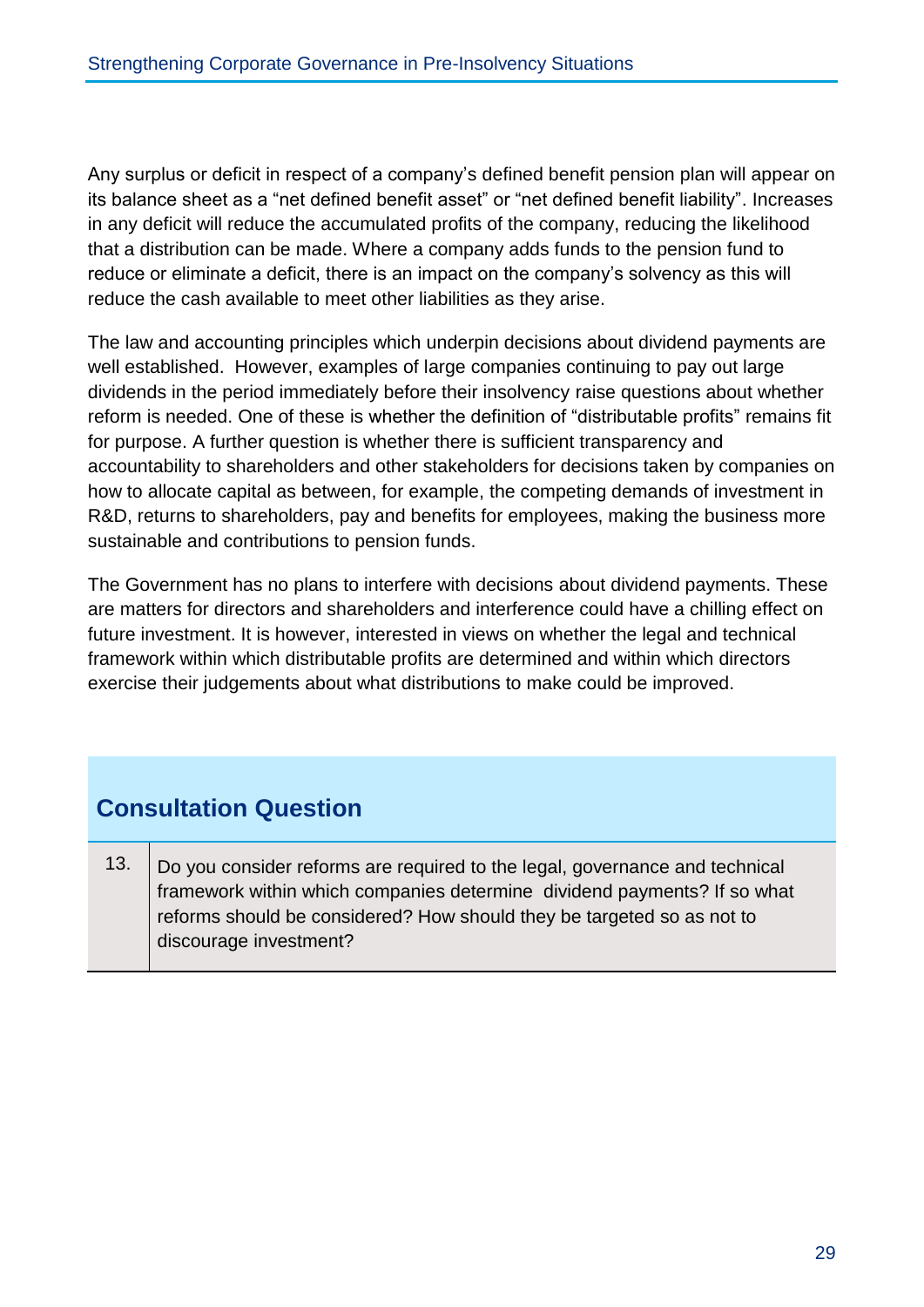Any surplus or deficit in respect of a company's defined benefit pension plan will appear on its balance sheet as a "net defined benefit asset" or "net defined benefit liability". Increases in any deficit will reduce the accumulated profits of the company, reducing the likelihood that a distribution can be made. Where a company adds funds to the pension fund to reduce or eliminate a deficit, there is an impact on the company's solvency as this will reduce the cash available to meet other liabilities as they arise.

The law and accounting principles which underpin decisions about dividend payments are well established. However, examples of large companies continuing to pay out large dividends in the period immediately before their insolvency raise questions about whether reform is needed. One of these is whether the definition of "distributable profits" remains fit for purpose. A further question is whether there is sufficient transparency and accountability to shareholders and other stakeholders for decisions taken by companies on how to allocate capital as between, for example, the competing demands of investment in R&D, returns to shareholders, pay and benefits for employees, making the business more sustainable and contributions to pension funds.

The Government has no plans to interfere with decisions about dividend payments. These are matters for directors and shareholders and interference could have a chilling effect on future investment. It is however, interested in views on whether the legal and technical framework within which distributable profits are determined and within which directors exercise their judgements about what distributions to make could be improved.

# **Consultation Question**

13. Do you consider reforms are required to the legal, governance and technical framework within which companies determine dividend payments? If so what reforms should be considered? How should they be targeted so as not to discourage investment?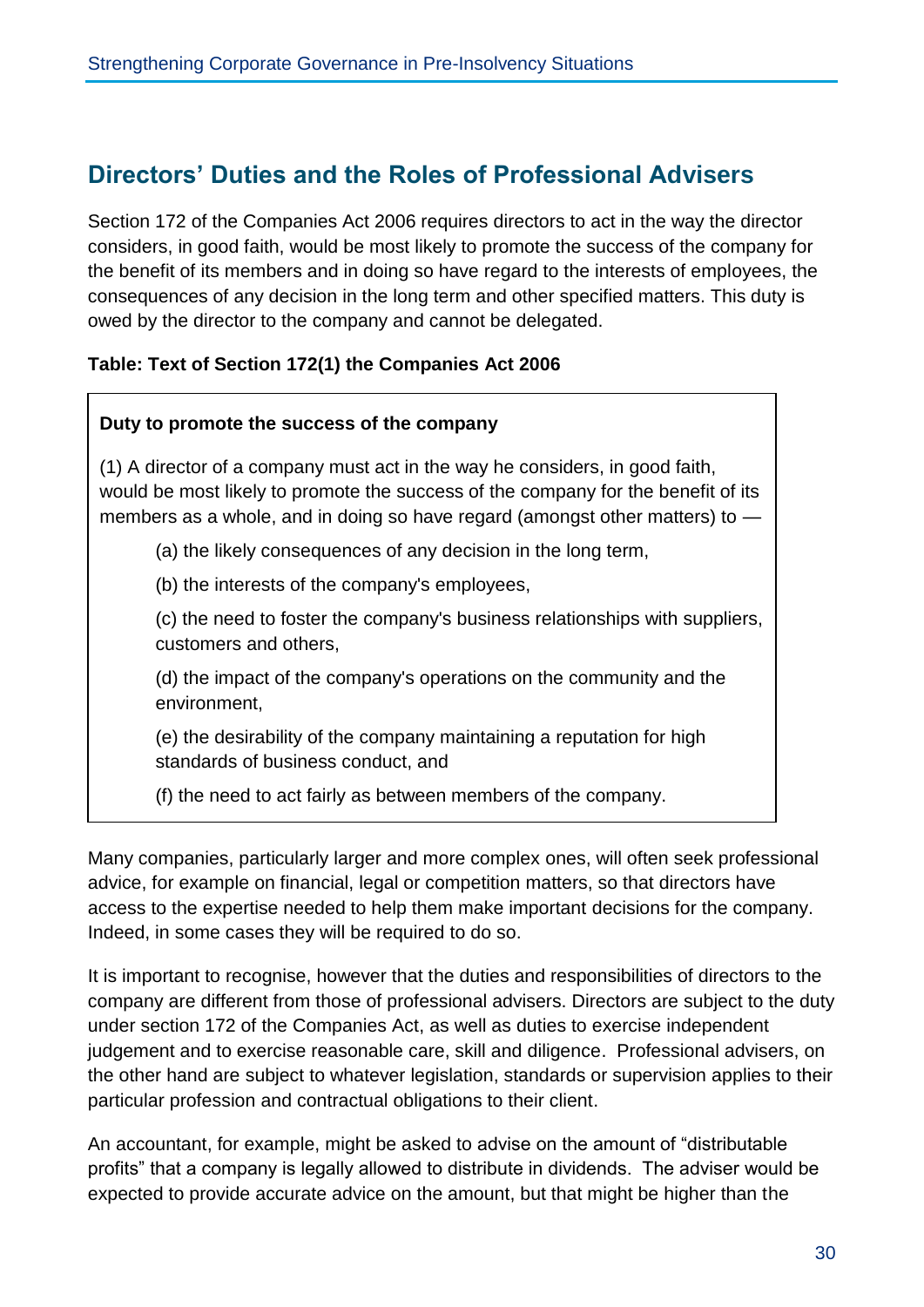## **Directors' Duties and the Roles of Professional Advisers**

Section 172 of the Companies Act 2006 requires directors to act in the way the director considers, in good faith, would be most likely to promote the success of the company for the benefit of its members and in doing so have regard to the interests of employees, the consequences of any decision in the long term and other specified matters. This duty is owed by the director to the company and cannot be delegated.

### **Table: Text of Section 172(1) the Companies Act 2006**

#### **Duty to promote the success of the company**

(1) A director of a company must act in the way he considers, in good faith, would be most likely to promote the success of the company for the benefit of its members as a whole, and in doing so have regard (amongst other matters) to —

(a) the likely consequences of any decision in the long term,

(b) the interests of the company's employees,

(c) the need to foster the company's business relationships with suppliers, customers and others,

(d) the impact of the company's operations on the community and the environment,

(e) the desirability of the company maintaining a reputation for high standards of business conduct, and

(f) the need to act fairly as between members of the company.

Many companies, particularly larger and more complex ones, will often seek professional advice, for example on financial, legal or competition matters, so that directors have access to the expertise needed to help them make important decisions for the company. Indeed, in some cases they will be required to do so.

It is important to recognise, however that the duties and responsibilities of directors to the company are different from those of professional advisers. Directors are subject to the duty under section 172 of the Companies Act, as well as duties to exercise independent judgement and to exercise reasonable care, skill and diligence. Professional advisers, on the other hand are subject to whatever legislation, standards or supervision applies to their particular profession and contractual obligations to their client.

An accountant, for example, might be asked to advise on the amount of "distributable profits" that a company is legally allowed to distribute in dividends. The adviser would be expected to provide accurate advice on the amount, but that might be higher than the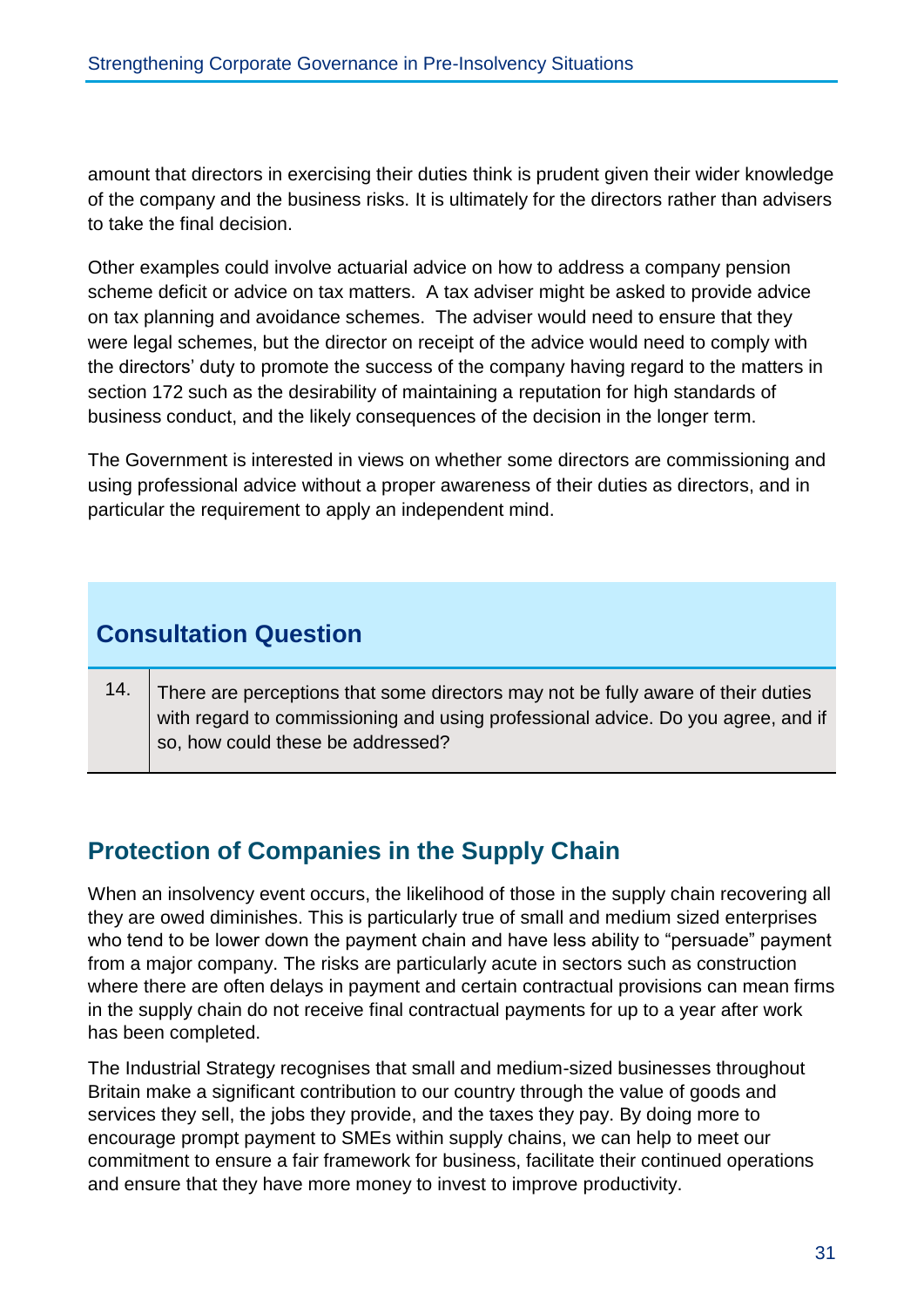amount that directors in exercising their duties think is prudent given their wider knowledge of the company and the business risks. It is ultimately for the directors rather than advisers to take the final decision.

Other examples could involve actuarial advice on how to address a company pension scheme deficit or advice on tax matters. A tax adviser might be asked to provide advice on tax planning and avoidance schemes. The adviser would need to ensure that they were legal schemes, but the director on receipt of the advice would need to comply with the directors' duty to promote the success of the company having regard to the matters in section 172 such as the desirability of maintaining a reputation for high standards of business conduct, and the likely consequences of the decision in the longer term.

The Government is interested in views on whether some directors are commissioning and using professional advice without a proper awareness of their duties as directors, and in particular the requirement to apply an independent mind.

# **Consultation Question**

14. There are perceptions that some directors may not be fully aware of their duties with regard to commissioning and using professional advice. Do you agree, and if so, how could these be addressed?

# **Protection of Companies in the Supply Chain**

When an insolvency event occurs, the likelihood of those in the supply chain recovering all they are owed diminishes. This is particularly true of small and medium sized enterprises who tend to be lower down the payment chain and have less ability to "persuade" payment from a major company. The risks are particularly acute in sectors such as construction where there are often delays in payment and certain contractual provisions can mean firms in the supply chain do not receive final contractual payments for up to a year after work has been completed.

The Industrial Strategy recognises that small and medium-sized businesses throughout Britain make a significant contribution to our country through the value of goods and services they sell, the jobs they provide, and the taxes they pay. By doing more to encourage prompt payment to SMEs within supply chains, we can help to meet our commitment to ensure a fair framework for business, facilitate their continued operations and ensure that they have more money to invest to improve productivity.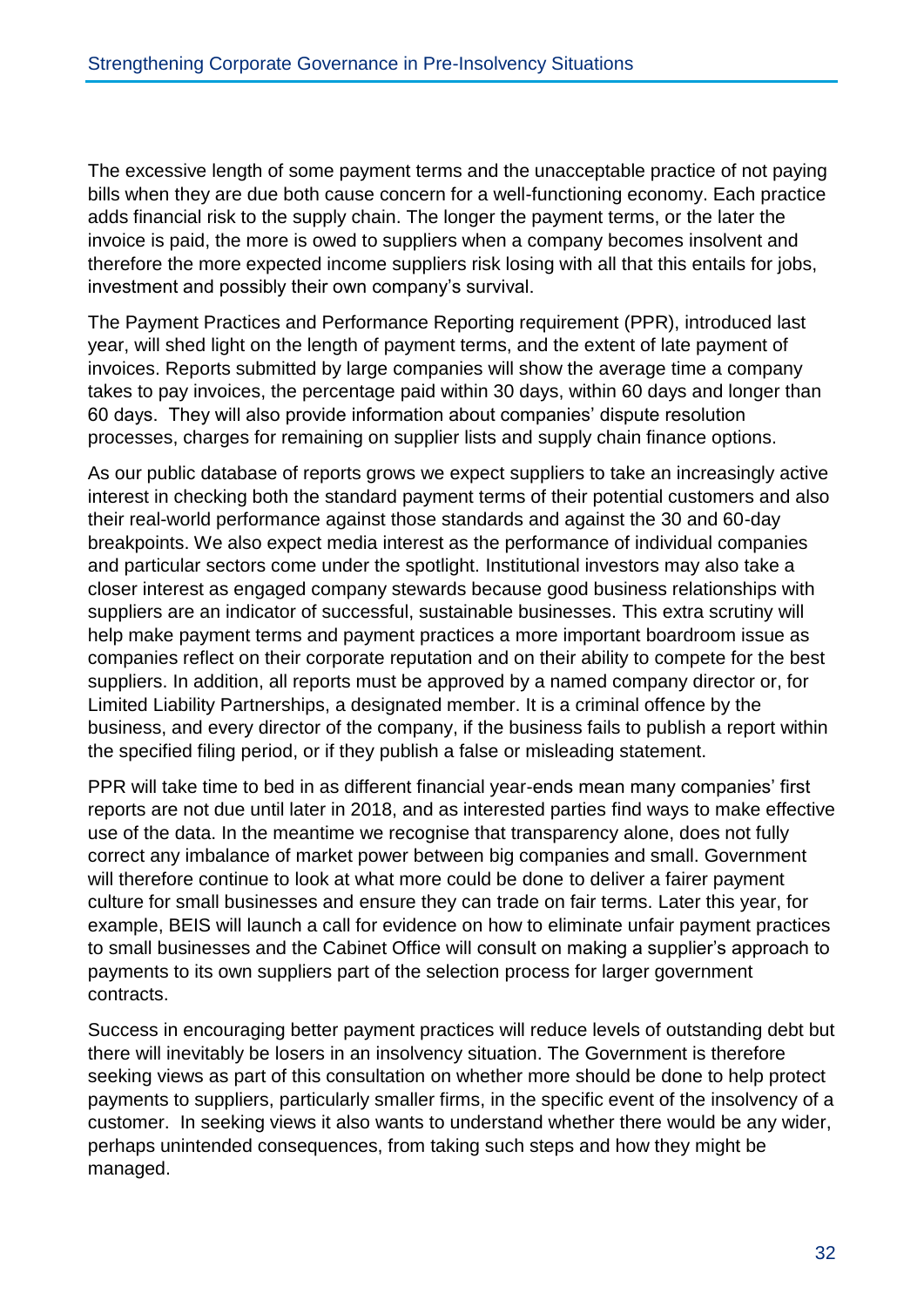The excessive length of some payment terms and the unacceptable practice of not paying bills when they are due both cause concern for a well-functioning economy. Each practice adds financial risk to the supply chain. The longer the payment terms, or the later the invoice is paid, the more is owed to suppliers when a company becomes insolvent and therefore the more expected income suppliers risk losing with all that this entails for jobs, investment and possibly their own company's survival.

The Payment Practices and Performance Reporting requirement (PPR), introduced last year, will shed light on the length of payment terms, and the extent of late payment of invoices. Reports submitted by large companies will show the average time a company takes to pay invoices, the percentage paid within 30 days, within 60 days and longer than 60 days. They will also provide information about companies' dispute resolution processes, charges for remaining on supplier lists and supply chain finance options.

As our public database of reports grows we expect suppliers to take an increasingly active interest in checking both the standard payment terms of their potential customers and also their real-world performance against those standards and against the 30 and 60-day breakpoints. We also expect media interest as the performance of individual companies and particular sectors come under the spotlight. Institutional investors may also take a closer interest as engaged company stewards because good business relationships with suppliers are an indicator of successful, sustainable businesses. This extra scrutiny will help make payment terms and payment practices a more important boardroom issue as companies reflect on their corporate reputation and on their ability to compete for the best suppliers. In addition, all reports must be approved by a named company director or, for Limited Liability Partnerships, a designated member. It is a criminal offence by the business, and every director of the company, if the business fails to publish a report within the specified filing period, or if they publish a false or misleading statement.

PPR will take time to bed in as different financial year-ends mean many companies' first reports are not due until later in 2018, and as interested parties find ways to make effective use of the data. In the meantime we recognise that transparency alone, does not fully correct any imbalance of market power between big companies and small. Government will therefore continue to look at what more could be done to deliver a fairer payment culture for small businesses and ensure they can trade on fair terms. Later this year, for example, BEIS will launch a call for evidence on how to eliminate unfair payment practices to small businesses and the Cabinet Office will consult on making a supplier's approach to payments to its own suppliers part of the selection process for larger government contracts.

Success in encouraging better payment practices will reduce levels of outstanding debt but there will inevitably be losers in an insolvency situation. The Government is therefore seeking views as part of this consultation on whether more should be done to help protect payments to suppliers, particularly smaller firms, in the specific event of the insolvency of a customer. In seeking views it also wants to understand whether there would be any wider, perhaps unintended consequences, from taking such steps and how they might be managed.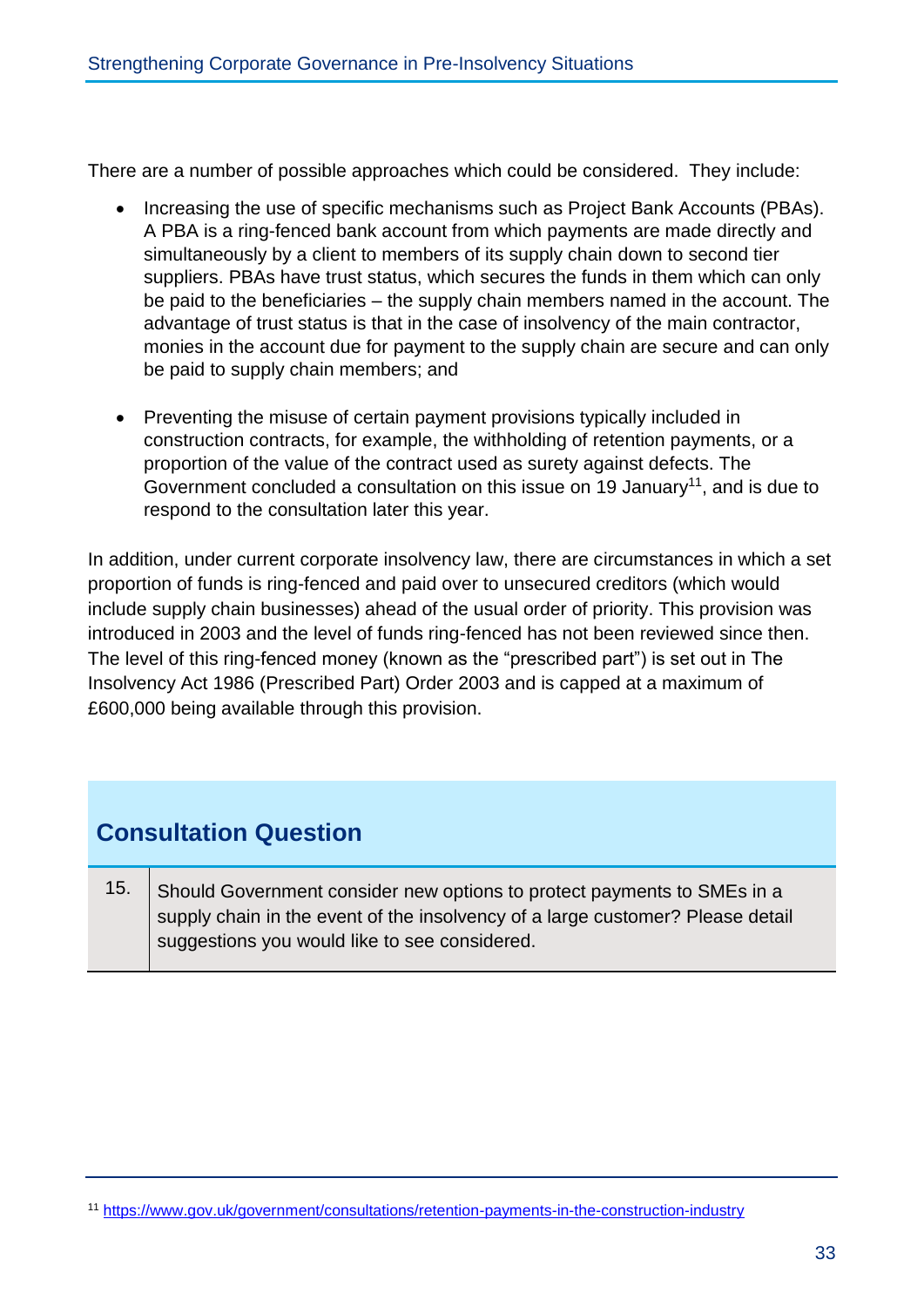There are a number of possible approaches which could be considered. They include:

- Increasing the use of specific mechanisms such as Project Bank Accounts (PBAs). A PBA is a ring-fenced bank account from which payments are made directly and simultaneously by a client to members of its supply chain down to second tier suppliers. PBAs have trust status, which secures the funds in them which can only be paid to the beneficiaries – the supply chain members named in the account. The advantage of trust status is that in the case of insolvency of the main contractor, monies in the account due for payment to the supply chain are secure and can only be paid to supply chain members; and
- Preventing the misuse of certain payment provisions typically included in construction contracts, for example, the withholding of retention payments, or a proportion of the value of the contract used as surety against defects. The Government concluded a consultation on this issue on 19 January<sup>11</sup>, and is due to respond to the consultation later this year.

In addition, under current corporate insolvency law, there are circumstances in which a set proportion of funds is ring-fenced and paid over to unsecured creditors (which would include supply chain businesses) ahead of the usual order of priority. This provision was introduced in 2003 and the level of funds ring-fenced has not been reviewed since then. The level of this ring-fenced money (known as the "prescribed part") is set out in The Insolvency Act 1986 (Prescribed Part) Order 2003 and is capped at a maximum of £600,000 being available through this provision.

## **Consultation Question**

15. Should Government consider new options to protect payments to SMEs in a supply chain in the event of the insolvency of a large customer? Please detail suggestions you would like to see considered.

<sup>11</sup> <https://www.gov.uk/government/consultations/retention-payments-in-the-construction-industry>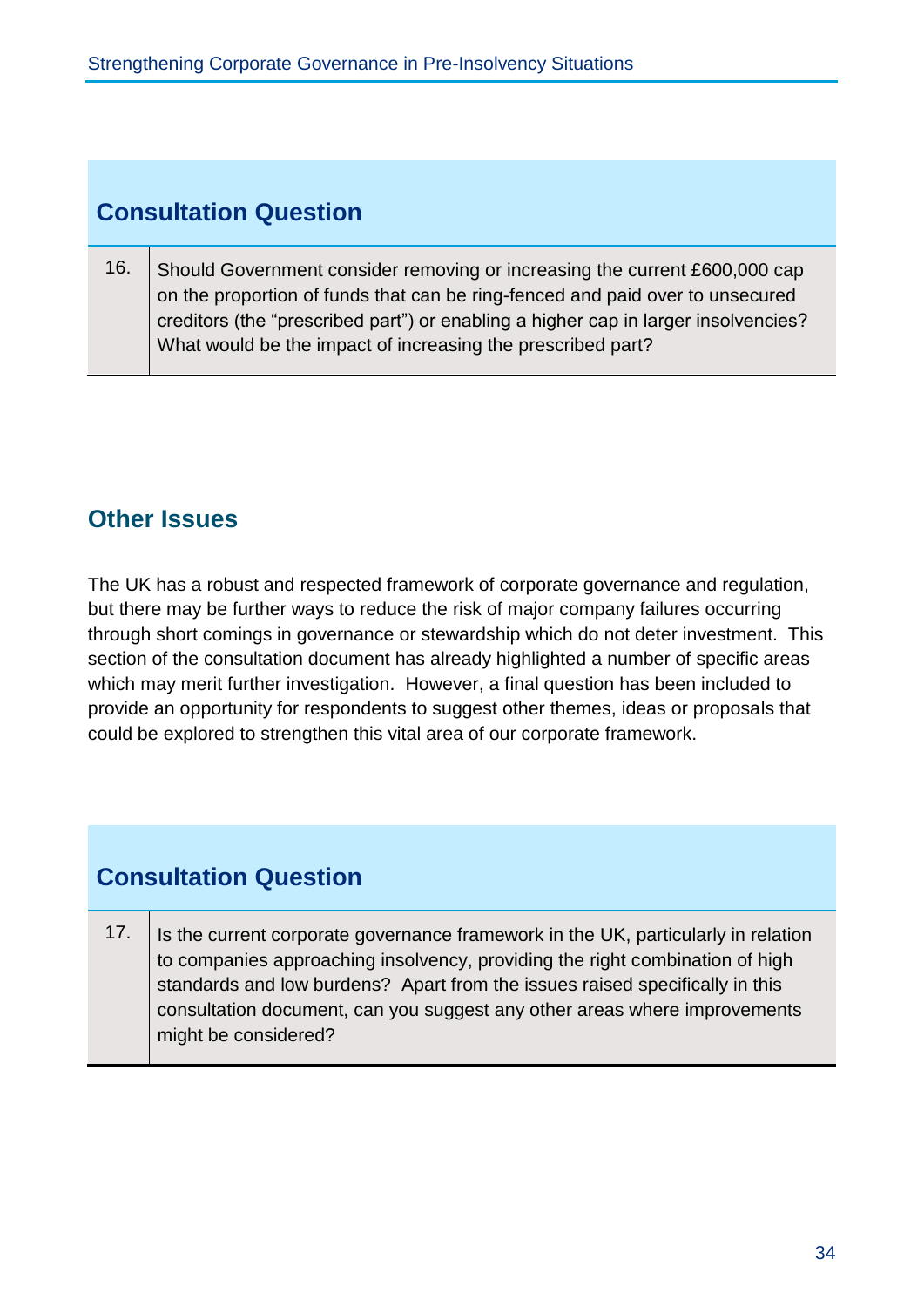## **Consultation Question**

16. Should Government consider removing or increasing the current £600,000 cap on the proportion of funds that can be ring-fenced and paid over to unsecured creditors (the "prescribed part") or enabling a higher cap in larger insolvencies? What would be the impact of increasing the prescribed part?

# **Other Issues**

The UK has a robust and respected framework of corporate governance and regulation, but there may be further ways to reduce the risk of major company failures occurring through short comings in governance or stewardship which do not deter investment. This section of the consultation document has already highlighted a number of specific areas which may merit further investigation. However, a final question has been included to provide an opportunity for respondents to suggest other themes, ideas or proposals that could be explored to strengthen this vital area of our corporate framework.

## **Consultation Question**

17. Is the current corporate governance framework in the UK, particularly in relation to companies approaching insolvency, providing the right combination of high standards and low burdens? Apart from the issues raised specifically in this consultation document, can you suggest any other areas where improvements might be considered?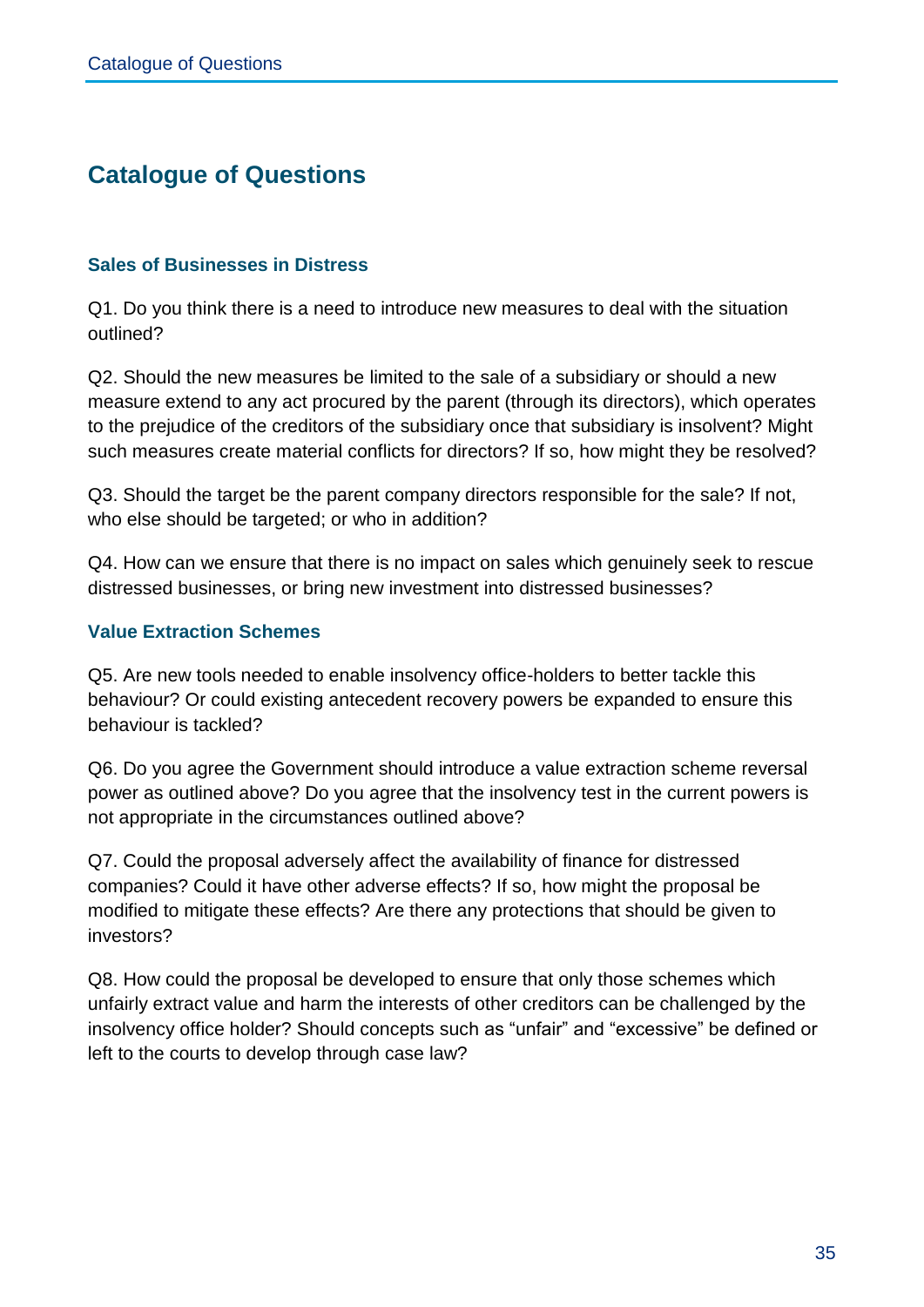## **Catalogue of Questions**

#### **Sales of Businesses in Distress**

Q1. Do you think there is a need to introduce new measures to deal with the situation outlined?

Q2. Should the new measures be limited to the sale of a subsidiary or should a new measure extend to any act procured by the parent (through its directors), which operates to the prejudice of the creditors of the subsidiary once that subsidiary is insolvent? Might such measures create material conflicts for directors? If so, how might they be resolved?

Q3. Should the target be the parent company directors responsible for the sale? If not, who else should be targeted; or who in addition?

Q4. How can we ensure that there is no impact on sales which genuinely seek to rescue distressed businesses, or bring new investment into distressed businesses?

#### **Value Extraction Schemes**

Q5. Are new tools needed to enable insolvency office-holders to better tackle this behaviour? Or could existing antecedent recovery powers be expanded to ensure this behaviour is tackled?

Q6. Do you agree the Government should introduce a value extraction scheme reversal power as outlined above? Do you agree that the insolvency test in the current powers is not appropriate in the circumstances outlined above?

Q7. Could the proposal adversely affect the availability of finance for distressed companies? Could it have other adverse effects? If so, how might the proposal be modified to mitigate these effects? Are there any protections that should be given to investors?

Q8. How could the proposal be developed to ensure that only those schemes which unfairly extract value and harm the interests of other creditors can be challenged by the insolvency office holder? Should concepts such as "unfair" and "excessive" be defined or left to the courts to develop through case law?